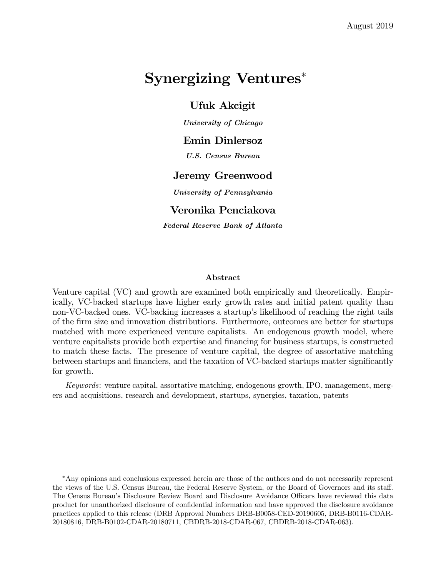# Synergizing Ventures<sup>∗</sup>

## Ufuk Akcigit

University of Chicago

### Emin Dinlersoz

U.S. Census Bureau

## Jeremy Greenwood

University of Pennsylvania

## Veronika Penciakova

Federal Reserve Bank of Atlanta

### Abstract

Venture capital (VC) and growth are examined both empirically and theoretically. Empirically, VC-backed startups have higher early growth rates and initial patent quality than non-VC-backed ones. VC-backing increases a startup's likelihood of reaching the right tails of the firm size and innovation distributions. Furthermore, outcomes are better for startups matched with more experienced venture capitalists. An endogenous growth model, where venture capitalists provide both expertise and financing for business startups, is constructed to match these facts. The presence of venture capital, the degree of assortative matching between startups and financiers, and the taxation of VC-backed startups matter significantly for growth.

Keywords: venture capital, assortative matching, endogenous growth, IPO, management, mergers and acquisitions, research and development, startups, synergies, taxation, patents

<sup>∗</sup>Any opinions and conclusions expressed herein are those of the authors and do not necessarily represent the views of the U.S. Census Bureau, the Federal Reserve System, or the Board of Governors and its staff. The Census Bureau's Disclosure Review Board and Disclosure Avoidance Officers have reviewed this data product for unauthorized disclosure of confidential information and have approved the disclosure avoidance practices applied to this release (DRB Approval Numbers DRB-B0058-CED-20190605, DRB-B0116-CDAR-20180816, DRB-B0102-CDAR-20180711, CBDRB-2018-CDAR-067, CBDRB-2018-CDAR-063).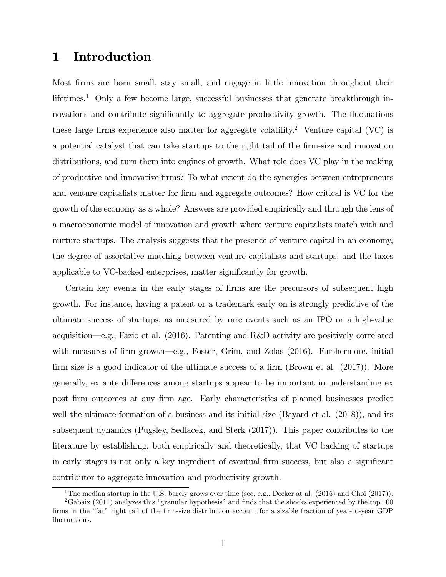# 1 Introduction

Most firms are born small, stay small, and engage in little innovation throughout their lifetimes.<sup>1</sup> Only a few become large, successful businesses that generate breakthrough innovations and contribute significantly to aggregate productivity growth. The fluctuations these large firms experience also matter for aggregate volatility.<sup>2</sup> Venture capital (VC) is a potential catalyst that can take startups to the right tail of the firm-size and innovation distributions, and turn them into engines of growth. What role does VC play in the making of productive and innovative firms? To what extent do the synergies between entrepreneurs and venture capitalists matter for firm and aggregate outcomes? How critical is VC for the growth of the economy as a whole? Answers are provided empirically and through the lens of a macroeconomic model of innovation and growth where venture capitalists match with and nurture startups. The analysis suggests that the presence of venture capital in an economy, the degree of assortative matching between venture capitalists and startups, and the taxes applicable to VC-backed enterprises, matter significantly for growth.

Certain key events in the early stages of firms are the precursors of subsequent high growth. For instance, having a patent or a trademark early on is strongly predictive of the ultimate success of startups, as measured by rare events such as an IPO or a high-value acquisition–e.g., Fazio et al. (2016). Patenting and R&D activity are positively correlated with measures of firm growth–e.g., Foster, Grim, and Zolas (2016). Furthermore, initial firm size is a good indicator of the ultimate success of a firm (Brown et al. (2017)). More generally, ex ante differences among startups appear to be important in understanding ex post firm outcomes at any firm age. Early characteristics of planned businesses predict well the ultimate formation of a business and its initial size (Bayard et al.  $(2018)$ ), and its subsequent dynamics (Pugsley, Sedlacek, and Sterk (2017)). This paper contributes to the literature by establishing, both empirically and theoretically, that VC backing of startups in early stages is not only a key ingredient of eventual firm success, but also a significant contributor to aggregate innovation and productivity growth.

<sup>&</sup>lt;sup>1</sup>The median startup in the U.S. barely grows over time (see, e.g., Decker at al.  $(2016)$  and Choi  $(2017)$ ).

<sup>&</sup>lt;sup>2</sup>Gabaix (2011) analyzes this "granular hypothesis" and finds that the shocks experienced by the top  $100$ firms in the "fat" right tail of the firm-size distribution account for a sizable fraction of year-to-year GDP fluctuations.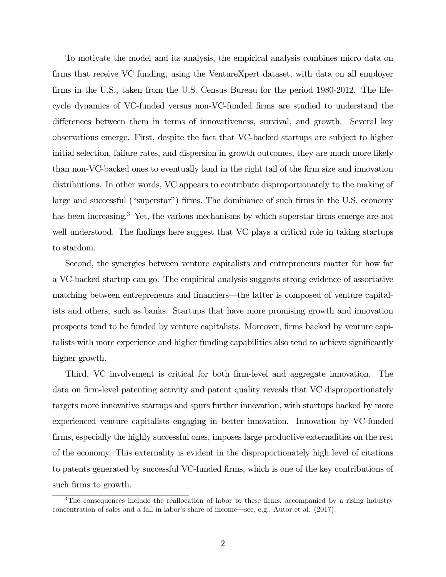To motivate the model and its analysis, the empirical analysis combines micro data on firms that receive VC funding, using the VentureXpert dataset, with data on all employer firms in the U.S., taken from the U.S. Census Bureau for the period 1980-2012. The lifecycle dynamics of VC-funded versus non-VC-funded firms are studied to understand the differences between them in terms of innovativeness, survival, and growth. Several key observations emerge. First, despite the fact that VC-backed startups are subject to higher initial selection, failure rates, and dispersion in growth outcomes, they are much more likely than non-VC-backed ones to eventually land in the right tail of the firm size and innovation distributions. In other words, VC appears to contribute disproportionately to the making of large and successful ("superstar") firms. The dominance of such firms in the U.S. economy has been increasing.<sup>3</sup> Yet, the various mechanisms by which superstar firms emerge are not well understood. The findings here suggest that VC plays a critical role in taking startups to stardom.

Second, the synergies between venture capitalists and entrepreneurs matter for how far a VC-backed startup can go. The empirical analysis suggests strong evidence of assortative matching between entrepreneurs and financiers–the latter is composed of venture capitalists and others, such as banks. Startups that have more promising growth and innovation prospects tend to be funded by venture capitalists. Moreover, firms backed by venture capitalists with more experience and higher funding capabilities also tend to achieve significantly higher growth.

Third, VC involvement is critical for both firm-level and aggregate innovation. The data on firm-level patenting activity and patent quality reveals that VC disproportionately targets more innovative startups and spurs further innovation, with startups backed by more experienced venture capitalists engaging in better innovation. Innovation by VC-funded firms, especially the highly successful ones, imposes large productive externalities on the rest of the economy. This externality is evident in the disproportionately high level of citations to patents generated by successful VC-funded firms, which is one of the key contributions of such firms to growth.

<sup>&</sup>lt;sup>3</sup>The consequences include the reallocation of labor to these firms, accompanied by a rising industry concentration of sales and a fall in labor's share of income–see, e.g., Autor et al. (2017).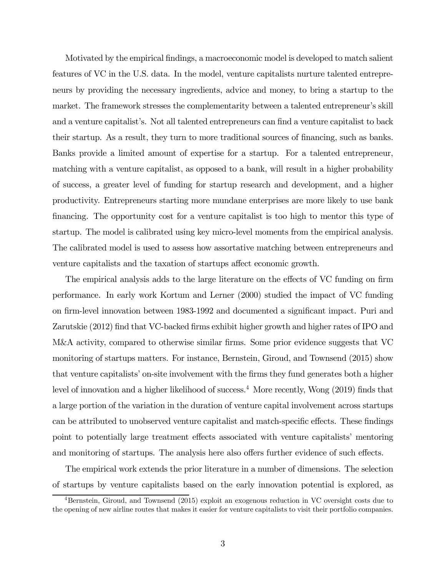Motivated by the empirical findings, a macroeconomic model is developed to match salient features of VC in the U.S. data. In the model, venture capitalists nurture talented entrepreneurs by providing the necessary ingredients, advice and money, to bring a startup to the market. The framework stresses the complementarity between a talented entrepreneur's skill and a venture capitalist's. Not all talented entrepreneurs can find a venture capitalist to back their startup. As a result, they turn to more traditional sources of financing, such as banks. Banks provide a limited amount of expertise for a startup. For a talented entrepreneur, matching with a venture capitalist, as opposed to a bank, will result in a higher probability of success, a greater level of funding for startup research and development, and a higher productivity. Entrepreneurs starting more mundane enterprises are more likely to use bank financing. The opportunity cost for a venture capitalist is too high to mentor this type of startup. The model is calibrated using key micro-level moments from the empirical analysis. The calibrated model is used to assess how assortative matching between entrepreneurs and venture capitalists and the taxation of startups affect economic growth.

The empirical analysis adds to the large literature on the effects of VC funding on firm performance. In early work Kortum and Lerner (2000) studied the impact of VC funding on firm-level innovation between 1983-1992 and documented a significant impact. Puri and Zarutskie (2012) find that VC-backed firms exhibit higher growth and higher rates of IPO and M&A activity, compared to otherwise similar firms. Some prior evidence suggests that VC monitoring of startups matters. For instance, Bernstein, Giroud, and Townsend (2015) show that venture capitalists' on-site involvement with the firms they fund generates both a higher level of innovation and a higher likelihood of success.<sup>4</sup> More recently, Wong (2019) finds that a large portion of the variation in the duration of venture capital involvement across startups can be attributed to unobserved venture capitalist and match-specific effects. These findings point to potentially large treatment effects associated with venture capitalists' mentoring and monitoring of startups. The analysis here also offers further evidence of such effects.

The empirical work extends the prior literature in a number of dimensions. The selection of startups by venture capitalists based on the early innovation potential is explored, as

<sup>&</sup>lt;sup>4</sup>Bernstein, Giroud, and Townsend (2015) exploit an exogenous reduction in VC oversight costs due to the opening of new airline routes that makes it easier for venture capitalists to visit their portfolio companies.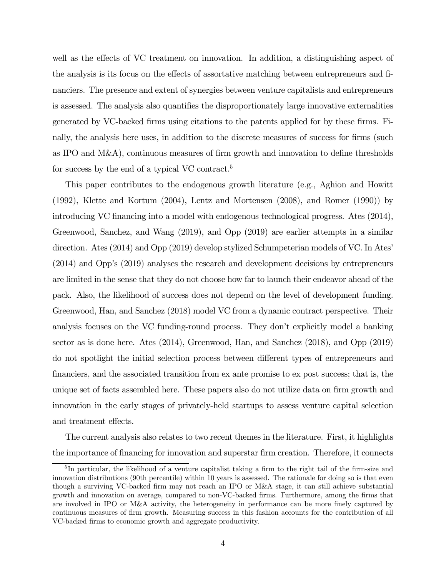well as the effects of VC treatment on innovation. In addition, a distinguishing aspect of the analysis is its focus on the effects of assortative matching between entrepreneurs and financiers. The presence and extent of synergies between venture capitalists and entrepreneurs is assessed. The analysis also quantifies the disproportionately large innovative externalities generated by VC-backed firms using citations to the patents applied for by these firms. Finally, the analysis here uses, in addition to the discrete measures of success for firms (such as IPO and M&A), continuous measures of firm growth and innovation to define thresholds for success by the end of a typical VC contract.5

This paper contributes to the endogenous growth literature (e.g., Aghion and Howitt (1992), Klette and Kortum (2004), Lentz and Mortensen (2008), and Romer (1990)) by introducing VC financing into a model with endogenous technological progress. Ates (2014), Greenwood, Sanchez, and Wang (2019), and Opp (2019) are earlier attempts in a similar direction. Ates (2014) and Opp (2019) develop stylized Schumpeterian models of VC. In Ates' (2014) and Opp's (2019) analyses the research and development decisions by entrepreneurs are limited in the sense that they do not choose how far to launch their endeavor ahead of the pack. Also, the likelihood of success does not depend on the level of development funding. Greenwood, Han, and Sanchez (2018) model VC from a dynamic contract perspective. Their analysis focuses on the VC funding-round process. They don't explicitly model a banking sector as is done here. Ates (2014), Greenwood, Han, and Sanchez (2018), and Opp (2019) do not spotlight the initial selection process between different types of entrepreneurs and financiers, and the associated transition from ex ante promise to ex post success; that is, the unique set of facts assembled here. These papers also do not utilize data on firm growth and innovation in the early stages of privately-held startups to assess venture capital selection and treatment effects.

The current analysis also relates to two recent themes in the literature. First, it highlights the importance of financing for innovation and superstar firm creation. Therefore, it connects

<sup>&</sup>lt;sup>5</sup>In particular, the likelihood of a venture capitalist taking a firm to the right tail of the firm-size and innovation distributions (90th percentile) within 10 years is assessed. The rationale for doing so is that even though a surviving VC-backed firm may not reach an IPO or M&A stage, it can still achieve substantial growth and innovation on average, compared to non-VC-backed firms. Furthermore, among the firms that are involved in IPO or M&A activity, the heterogeneity in performance can be more finely captured by continuous measures of firm growth. Measuring success in this fashion accounts for the contribution of all VC-backed firms to economic growth and aggregate productivity.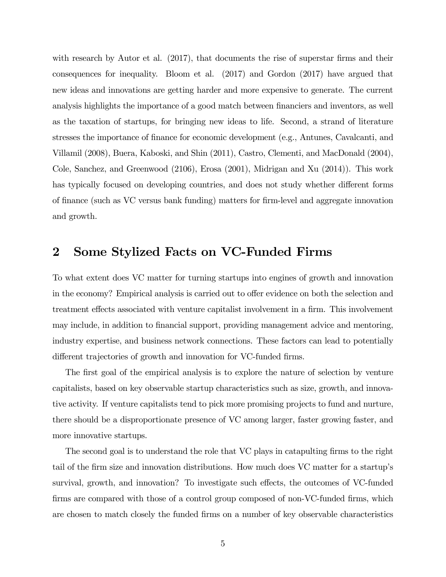with research by Autor et al. (2017), that documents the rise of superstar firms and their consequences for inequality. Bloom et al. (2017) and Gordon (2017) have argued that new ideas and innovations are getting harder and more expensive to generate. The current analysis highlights the importance of a good match between financiers and inventors, as well as the taxation of startups, for bringing new ideas to life. Second, a strand of literature stresses the importance of finance for economic development (e.g., Antunes, Cavalcanti, and Villamil (2008), Buera, Kaboski, and Shin (2011), Castro, Clementi, and MacDonald (2004), Cole, Sanchez, and Greenwood (2106), Erosa (2001), Midrigan and Xu (2014)). This work has typically focused on developing countries, and does not study whether different forms of finance (such as VC versus bank funding) matters for firm-level and aggregate innovation and growth.

## 2 Some Stylized Facts on VC-Funded Firms

To what extent does VC matter for turning startups into engines of growth and innovation in the economy? Empirical analysis is carried out to offer evidence on both the selection and treatment effects associated with venture capitalist involvement in a firm. This involvement may include, in addition to financial support, providing management advice and mentoring, industry expertise, and business network connections. These factors can lead to potentially different trajectories of growth and innovation for VC-funded firms.

The first goal of the empirical analysis is to explore the nature of selection by venture capitalists, based on key observable startup characteristics such as size, growth, and innovative activity. If venture capitalists tend to pick more promising projects to fund and nurture, there should be a disproportionate presence of VC among larger, faster growing faster, and more innovative startups.

The second goal is to understand the role that VC plays in catapulting firms to the right tail of the firm size and innovation distributions. How much does VC matter for a startup's survival, growth, and innovation? To investigate such effects, the outcomes of VC-funded firms are compared with those of a control group composed of non-VC-funded firms, which are chosen to match closely the funded firms on a number of key observable characteristics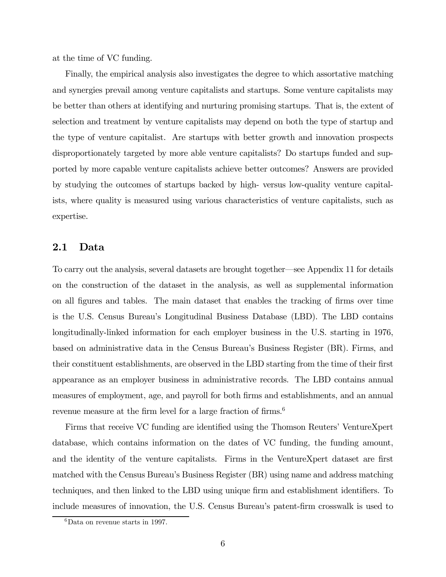at the time of VC funding.

Finally, the empirical analysis also investigates the degree to which assortative matching and synergies prevail among venture capitalists and startups. Some venture capitalists may be better than others at identifying and nurturing promising startups. That is, the extent of selection and treatment by venture capitalists may depend on both the type of startup and the type of venture capitalist. Are startups with better growth and innovation prospects disproportionately targeted by more able venture capitalists? Do startups funded and supported by more capable venture capitalists achieve better outcomes? Answers are provided by studying the outcomes of startups backed by high- versus low-quality venture capitalists, where quality is measured using various characteristics of venture capitalists, such as expertise.

### 2.1 Data

To carry out the analysis, several datasets are brought together–see Appendix 11 for details on the construction of the dataset in the analysis, as well as supplemental information on all figures and tables. The main dataset that enables the tracking of firms over time is the U.S. Census Bureau's Longitudinal Business Database (LBD). The LBD contains longitudinally-linked information for each employer business in the U.S. starting in 1976, based on administrative data in the Census Bureau's Business Register (BR). Firms, and their constituent establishments, are observed in the LBD starting from the time of their first appearance as an employer business in administrative records. The LBD contains annual measures of employment, age, and payroll for both firms and establishments, and an annual revenue measure at the firm level for a large fraction of firms.<sup>6</sup>

Firms that receive VC funding are identified using the Thomson Reuters' VentureXpert database, which contains information on the dates of VC funding, the funding amount, and the identity of the venture capitalists. Firms in the VentureXpert dataset are first matched with the Census Bureau's Business Register (BR) using name and address matching techniques, and then linked to the LBD using unique firm and establishment identifiers. To include measures of innovation, the U.S. Census Bureau's patent-firm crosswalk is used to

 ${}^{6}$ Data on revenue starts in 1997.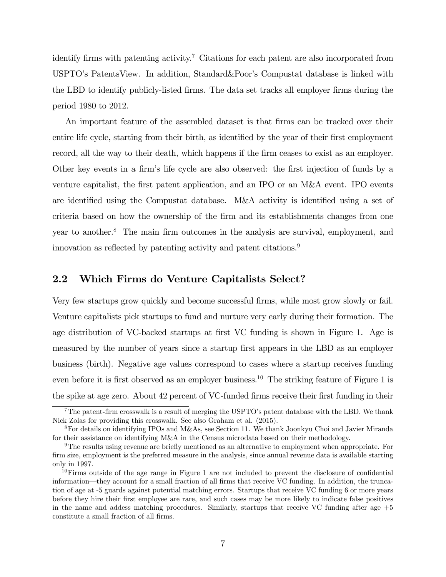identify firms with patenting activity.<sup>7</sup> Citations for each patent are also incorporated from USPTO's PatentsView. In addition, Standard&Poor's Compustat database is linked with the LBD to identify publicly-listed firms. The data set tracks all employer firms during the period 1980 to 2012.

An important feature of the assembled dataset is that firms can be tracked over their entire life cycle, starting from their birth, as identified by the year of their first employment record, all the way to their death, which happens if the firm ceases to exist as an employer. Other key events in a firm's life cycle are also observed: the first injection of funds by a venture capitalist, the first patent application, and an IPO or an M&A event. IPO events are identified using the Compustat database. M&A activity is identified using a set of criteria based on how the ownership of the firm and its establishments changes from one year to another.8 The main firm outcomes in the analysis are survival, employment, and innovation as reflected by patenting activity and patent citations.<sup>9</sup>

### 2.2 Which Firms do Venture Capitalists Select?

Very few startups grow quickly and become successful firms, while most grow slowly or fail. Venture capitalists pick startups to fund and nurture very early during their formation. The age distribution of VC-backed startups at first VC funding is shown in Figure 1. Age is measured by the number of years since a startup first appears in the LBD as an employer business (birth). Negative age values correspond to cases where a startup receives funding even before it is first observed as an employer business.<sup>10</sup> The striking feature of Figure 1 is the spike at age zero. About 42 percent of VC-funded firms receive their first funding in their

 $7$ The patent-firm crosswalk is a result of merging the USPTO's patent database with the LBD. We thank Nick Zolas for providing this crosswalk. See also Graham et al. (2015).

<sup>8</sup>For details on identifying IPOs and M&As, see Section 11. We thank Joonkyu Choi and Javier Miranda for their assistance on identifying M&A in the Census microdata based on their methodology.

<sup>9</sup>The results using revenue are briefly mentioned as an alternative to employment when appropriate. For firm size, employment is the preferred measure in the analysis, since annual revenue data is available starting only in 1997.

 $10$ Firms outside of the age range in Figure 1 are not included to prevent the disclosure of confidential information–they account for a small fraction of all firms that receive VC funding. In addition, the truncation of age at -5 guards against potential matching errors. Startups that receive VC funding 6 or more years before they hire their first employee are rare, and such cases may be more likely to indicate false positives in the name and addess matching procedures. Similarly, startups that receive VC funding after age  $+5$ constitute a small fraction of all firms.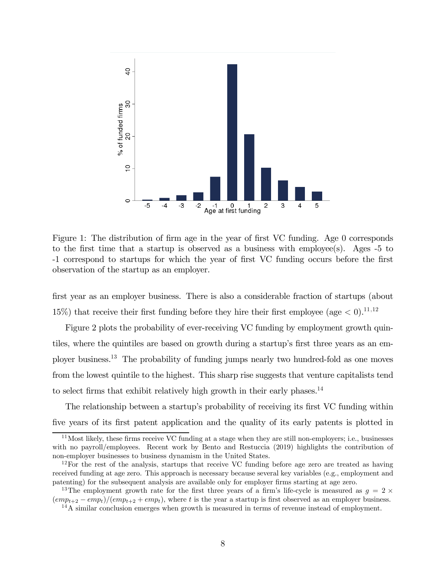

Figure 1: The distribution of firm age in the year of first VC funding. Age 0 corresponds to the first time that a startup is observed as a business with employee(s). Ages -5 to -1 correspond to startups for which the year of first VC funding occurs before the first observation of the startup as an employer.

first year as an employer business. There is also a considerable fraction of startups (about 15%) that receive their first funding before they hire their first employee (age  $\lt 0$ ).<sup>11,12</sup>

Figure 2 plots the probability of ever-receiving VC funding by employment growth quintiles, where the quintiles are based on growth during a startup's first three years as an employer business.13 The probability of funding jumps nearly two hundred-fold as one moves from the lowest quintile to the highest. This sharp rise suggests that venture capitalists tend to select firms that exhibit relatively high growth in their early phases.<sup>14</sup>

The relationship between a startup's probability of receiving its first VC funding within five years of its first patent application and the quality of its early patents is plotted in

 $11$ Most likely, these firms receive VC funding at a stage when they are still non-employers; i.e., businesses with no payroll/employees. Recent work by Bento and Restuccia (2019) highlights the contribution of non-employer businesses to business dynamism in the United States.

<sup>12</sup>For the rest of the analysis, startups that receive VC funding before age zero are treated as having received funding at age zero. This approach is necessary because several key variables (e.g., employment and patenting) for the subsequent analysis are available only for employer firms starting at age zero.

<sup>&</sup>lt;sup>13</sup>The employment growth rate for the first three years of a firm's life-cycle is measured as  $q = 2 \times$  $\frac{(\epsilon m p_{t+2} - \epsilon m p_t)}{(\epsilon m p_{t+2} + \epsilon m p_t)}$ , where t is the year a startup is first observed as an employer business.

<sup>&</sup>lt;sup>14</sup>A similar conclusion emerges when growth is measured in terms of revenue instead of employment.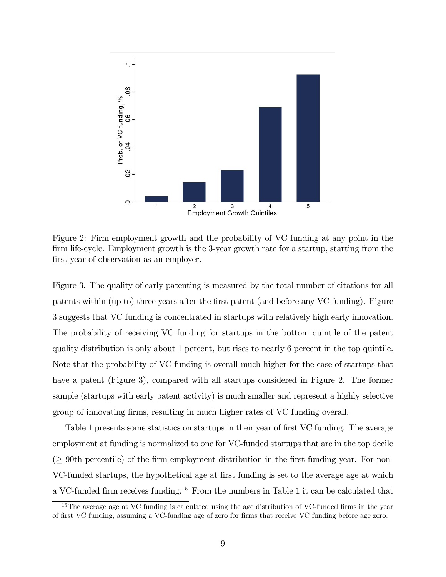

Figure 2: Firm employment growth and the probability of VC funding at any point in the firm life-cycle. Employment growth is the 3-year growth rate for a startup, starting from the first year of observation as an employer.

Figure 3. The quality of early patenting is measured by the total number of citations for all patents within (up to) three years after the first patent (and before any VC funding). Figure 3 suggests that VC funding is concentrated in startups with relatively high early innovation. The probability of receiving VC funding for startups in the bottom quintile of the patent quality distribution is only about 1 percent, but rises to nearly 6 percent in the top quintile. Note that the probability of VC-funding is overall much higher for the case of startups that have a patent (Figure 3), compared with all startups considered in Figure 2. The former sample (startups with early patent activity) is much smaller and represent a highly selective group of innovating firms, resulting in much higher rates of VC funding overall.

Table 1 presents some statistics on startups in their year of first VC funding. The average employment at funding is normalized to one for VC-funded startups that are in the top decile  $($   $\geq$  90th percentile) of the firm employment distribution in the first funding year. For non-VC-funded startups, the hypothetical age at first funding is set to the average age at which a VC-funded firm receives funding.15 From the numbers in Table 1 it can be calculated that

<sup>&</sup>lt;sup>15</sup>The average age at VC funding is calculated using the age distribution of VC-funded firms in the year of first VC funding, assuming a VC-funding age of zero for firms that receive VC funding before age zero.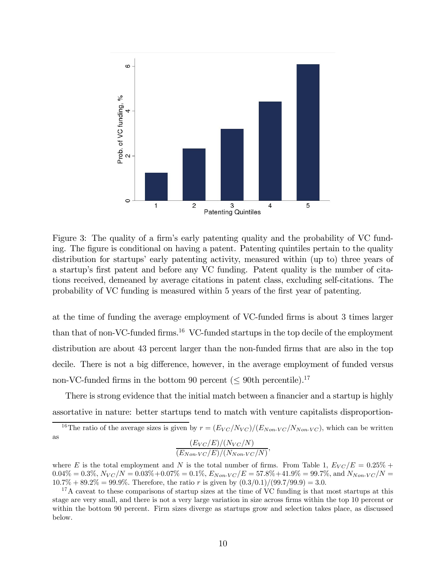

Figure 3: The quality of a firm's early patenting quality and the probability of VC funding. The figure is conditional on having a patent. Patenting quintiles pertain to the quality distribution for startups' early patenting activity, measured within (up to) three years of a startup's first patent and before any VC funding. Patent quality is the number of citations received, demeaned by average citations in patent class, excluding self-citations. The probability of VC funding is measured within 5 years of the first year of patenting.

at the time of funding the average employment of VC-funded firms is about 3 times larger than that of non-VC-funded firms.<sup>16</sup> VC-funded startups in the top decile of the employment distribution are about 43 percent larger than the non-funded firms that are also in the top decile. There is not a big difference, however, in the average employment of funded versus non-VC-funded firms in the bottom 90 percent ( $\leq$  90th percentile).<sup>17</sup>

There is strong evidence that the initial match between a financier and a startup is highly assortative in nature: better startups tend to match with venture capitalists disproportion-

$$
\frac{(E_{VC}/E)/(N_{VC}/N)}{(E_{Non\text{-}VC}/E)/(N_{Non\text{-}VC}/N)},
$$

where E is the total employment and N is the total number of firms. From Table 1,  $E_{VC}/E = 0.25\% +$  $0.04\% = 0.3\%, N_{VC}/N = 0.03\% + 0.07\% = 0.1\%, E_{Non-VC}/E = 57.8\% + 41.9\% = 99.7\%, \text{ and } N_{Non-VC}/N = 0.03\% + 0.07\% = 0.03\%$  $10.7\% + 89.2\% = 99.9\%$ . Therefore, the ratio r is given by  $(0.3/0.1)/(99.7/99.9) = 3.0$ .

<sup>17</sup>A caveat to these comparisons of startup sizes at the time of VC funding is that most startups at this stage are very small, and there is not a very large variation in size across firms within the top 10 percent or within the bottom 90 percent. Firm sizes diverge as startups grow and selection takes place, as discussed below.

<sup>&</sup>lt;sup>16</sup>The ratio of the average sizes is given by  $r = (E_{VC}/N_{VC})/(E_{Non\text{-}VC}/N_{Non\text{-}VC})$ , which can be written as  $\langle E \rangle$   $\langle \langle M \rangle$   $\langle \langle M \rangle$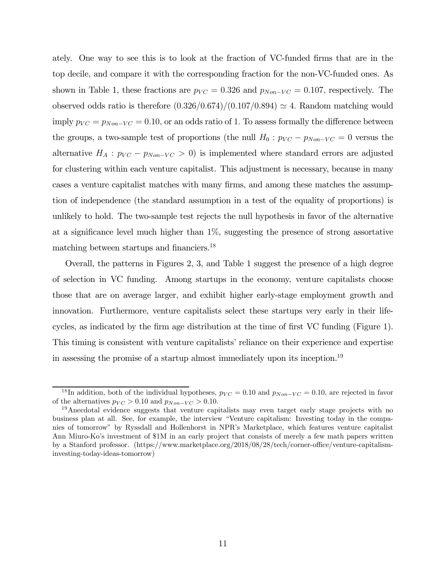ately. One way to see this is to look at the fraction of VC-funded firms that are in the top decile, and compare it with the corresponding fraction for the non-VC-funded ones. As shown in Table 1, these fractions are  $p_{VC} = 0.326$  and  $p_{Non-VC} = 0.107$ , respectively. The observed odds ratio is therefore  $(0.326/0.674)/(0.107/0.894) \approx 4$ . Random matching would imply  $p_{VC} = p_{Non-VC} = 0.10$ , or an odds ratio of 1. To assess formally the difference between the groups, a two-sample test of proportions (the null  $H_0 : p_{VC} - p_{Non-VC} = 0$  versus the alternative  $H_A: p_{VC} - p_{Non-VC} > 0$  is implemented where standard errors are adjusted for clustering within each venture capitalist. This adjustment is necessary, because in many cases a venture capitalist matches with many firms, and among these matches the assumption of independence (the standard assumption in a test of the equality of proportions) is unlikely to hold. The two-sample test rejects the null hypothesis in favor of the alternative at a significance level much higher than 1%, suggesting the presence of strong assortative matching between startups and financiers.18

Overall, the patterns in Figures 2, 3, and Table 1 suggest the presence of a high degree of selection in VC funding. Among startups in the economy, venture capitalists choose those that are on average larger, and exhibit higher early-stage employment growth and innovation. Furthermore, venture capitalists select these startups very early in their lifecycles, as indicated by the firm age distribution at the time of first VC funding (Figure 1). This timing is consistent with venture capitalists' reliance on their experience and expertise in assessing the promise of a startup almost immediately upon its inception.19

<sup>&</sup>lt;sup>18</sup>In addition, both of the individual hypotheses,  $p_{VC} = 0.10$  and  $p_{Non-VC} = 0.10$ , are rejected in favor of the alternatives  $p_{VC} > 0.10$  and  $p_{Non-VC} > 0.10$ .

<sup>&</sup>lt;sup>19</sup> Anecdotal evidence suggests that venture capitalists may even target early stage projects with no business plan at all. See, for example, the interview "Venture capitalism: Investing today in the companies of tomorrow" by Ryssdall and Hollenhorst in NPR's Marketplace, which features venture capitalist Ann Miuro-Ko's investment of \$1M in an early project that consists of merely a few math papers written by a Stanford professor. (https://www.marketplace.org/2018/08/28/tech/corner-office/venture-capitalisminvesting-today-ideas-tomorrow)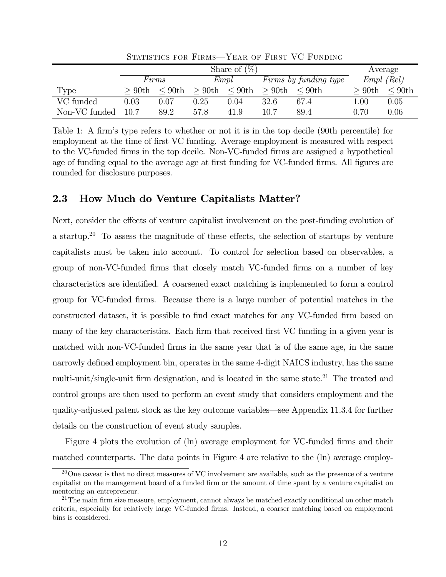|               | Share of $(\%)$ |              |          |              |          |                       |          | Average      |
|---------------|-----------------|--------------|----------|--------------|----------|-----------------------|----------|--------------|
|               |                 | Firms        |          | Empl         |          | Firms by funding type |          | $Empl$ (Rel) |
| Type          | >90th           | $\rm < 90th$ | $>90$ th | $\rm < 90th$ | $>90$ th | $\rm < 90th$          | >90th    | $\leq 90$ th |
| VC funded     | $\rm 0.03$      | 0.07         | 0.25     | 0.04         | 32.6     | 67.4                  | $1.00\,$ | 0.05         |
| Non-VC funded | 10.7            | 89.2         | 57.8     | 41.9         | 10.7     | 89.4                  | 0.70     | 0.06         |

STATISTICS FOR FIRMS-YEAR OF FIRST VC FUNDING

Table 1: A firm's type refers to whether or not it is in the top decile (90th percentile) for employment at the time of first VC funding. Average employment is measured with respect to the VC-funded firms in the top decile. Non-VC-funded firms are assigned a hypothetical age of funding equal to the average age at first funding for VC-funded firms. All figures are rounded for disclosure purposes.

## 2.3 How Much do Venture Capitalists Matter?

Next, consider the effects of venture capitalist involvement on the post-funding evolution of a startup.<sup>20</sup> To assess the magnitude of these effects, the selection of startups by venture capitalists must be taken into account. To control for selection based on observables, a group of non-VC-funded firms that closely match VC-funded firms on a number of key characteristics are identified. A coarsened exact matching is implemented to form a control group for VC-funded firms. Because there is a large number of potential matches in the constructed dataset, it is possible to find exact matches for any VC-funded firm based on many of the key characteristics. Each firm that received first VC funding in a given year is matched with non-VC-funded firms in the same year that is of the same age, in the same narrowly defined employment bin, operates in the same 4-digit NAICS industry, has the same multi-unit/single-unit firm designation, and is located in the same state.<sup>21</sup> The treated and control groups are then used to perform an event study that considers employment and the quality-adjusted patent stock as the key outcome variables–see Appendix 11.3.4 for further details on the construction of event study samples.

Figure 4 plots the evolution of (ln) average employment for VC-funded firms and their matched counterparts. The data points in Figure 4 are relative to the (ln) average employ-

 $^{20}$ One caveat is that no direct measures of VC involvement are available, such as the presence of a venture capitalist on the management board of a funded firm or the amount of time spent by a venture capitalist on mentoring an entrepreneur.

<sup>&</sup>lt;sup>21</sup>The main firm size measure, employment, cannot always be matched exactly conditional on other match criteria, especially for relatively large VC-funded firms. Instead, a coarser matching based on employment bins is considered.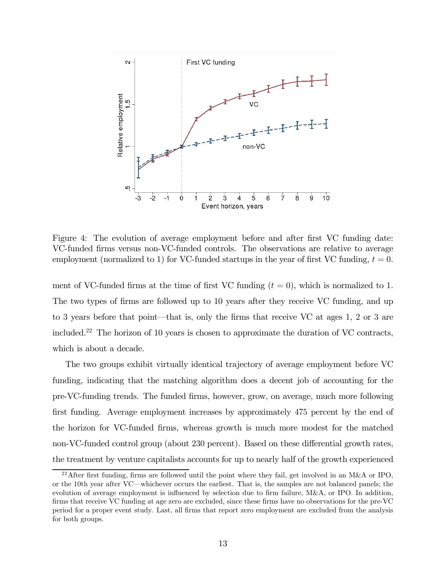

Figure 4: The evolution of average employment before and after first VC funding date: VC-funded firms versus non-VC-funded controls. The observations are relative to average employment (normalized to 1) for VC-funded startups in the year of first VC funding,  $t = 0$ .

ment of VC-funded firms at the time of first VC funding  $(t = 0)$ , which is normalized to 1. The two types of firms are followed up to 10 years after they receive VC funding, and up to 3 years before that point–that is, only the firms that receive VC at ages 1, 2 or 3 are included.22 The horizon of 10 years is chosen to approximate the duration of VC contracts, which is about a decade.

The two groups exhibit virtually identical trajectory of average employment before VC funding, indicating that the matching algorithm does a decent job of accounting for the pre-VC-funding trends. The funded firms, however, grow, on average, much more following first funding. Average employment increases by approximately 475 percent by the end of the horizon for VC-funded firms, whereas growth is much more modest for the matched non-VC-funded control group (about 230 percent). Based on these differential growth rates, the treatment by venture capitalists accounts for up to nearly half of the growth experienced

<sup>&</sup>lt;sup>22</sup>After first funding, firms are followed until the point where they fail, get involved in an M&A or IPO, or the 10th year after VC–whichever occurs the earliest. That is, the samples are not balanced panels; the evolution of average employment is influenced by selection due to firm failure, M&A, or IPO. In addition, firms that receive VC funding at age zero are excluded, since these firms have no observations for the pre-VC period for a proper event study. Last, all firms that report zero employment are excluded from the analysis for both groups.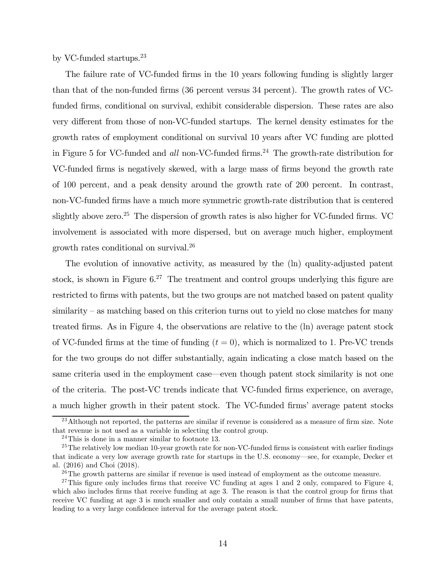by VC-funded startups.23

The failure rate of VC-funded firms in the 10 years following funding is slightly larger than that of the non-funded firms (36 percent versus 34 percent). The growth rates of VCfunded firms, conditional on survival, exhibit considerable dispersion. These rates are also very different from those of non-VC-funded startups. The kernel density estimates for the growth rates of employment conditional on survival 10 years after VC funding are plotted in Figure 5 for VC-funded and all non-VC-funded firms.<sup>24</sup> The growth-rate distribution for VC-funded firms is negatively skewed, with a large mass of firms beyond the growth rate of 100 percent, and a peak density around the growth rate of 200 percent. In contrast, non-VC-funded firms have a much more symmetric growth-rate distribution that is centered slightly above zero.<sup>25</sup> The dispersion of growth rates is also higher for VC-funded firms. VC involvement is associated with more dispersed, but on average much higher, employment growth rates conditional on survival.26

The evolution of innovative activity, as measured by the (ln) quality-adjusted patent stock, is shown in Figure  $6^{27}$  The treatment and control groups underlying this figure are restricted to firms with patents, but the two groups are not matched based on patent quality similarity – as matching based on this criterion turns out to yield no close matches for many treated firms. As in Figure 4, the observations are relative to the (ln) average patent stock of VC-funded firms at the time of funding  $(t = 0)$ , which is normalized to 1. Pre-VC trends for the two groups do not differ substantially, again indicating a close match based on the same criteria used in the employment case–even though patent stock similarity is not one of the criteria. The post-VC trends indicate that VC-funded firms experience, on average, a much higher growth in their patent stock. The VC-funded firms' average patent stocks

<sup>&</sup>lt;sup>23</sup>Although not reported, the patterns are similar if revenue is considered as a measure of firm size. Note that revenue is not used as a variable in selecting the control group.

 $24$ This is done in a manner similar to footnote 13.

<sup>&</sup>lt;sup>25</sup>The relatively low median 10-year growth rate for non-VC-funded firms is consistent with earlier findings that indicate a very low average growth rate for startups in the U.S. economy–see, for example, Decker et al. (2016) and Choi (2018).

 $^{26}$ The growth patterns are similar if revenue is used instead of employment as the outcome measure.

 $27$ This figure only includes firms that receive VC funding at ages 1 and 2 only, compared to Figure 4, which also includes firms that receive funding at age 3. The reason is that the control group for firms that receive VC funding at age 3 is much smaller and only contain a small number of firms that have patents, leading to a very large confidence interval for the average patent stock.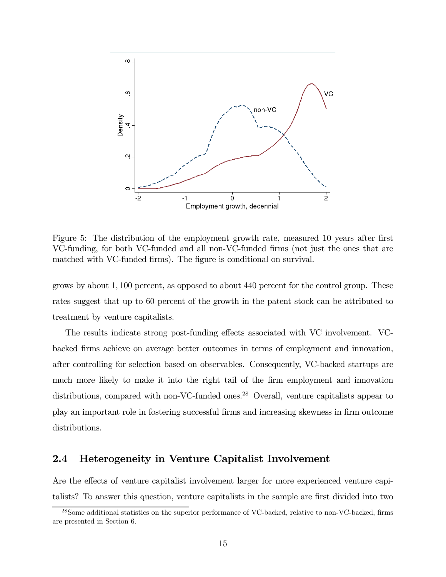

Figure 5: The distribution of the employment growth rate, measured 10 years after first VC-funding, for both VC-funded and all non-VC-funded firms (not just the ones that are matched with VC-funded firms). The figure is conditional on survival.

grows by about  $1,100$  percent, as opposed to about  $440$  percent for the control group. These rates suggest that up to 60 percent of the growth in the patent stock can be attributed to treatment by venture capitalists.

The results indicate strong post-funding effects associated with VC involvement. VCbacked firms achieve on average better outcomes in terms of employment and innovation, after controlling for selection based on observables. Consequently, VC-backed startups are much more likely to make it into the right tail of the firm employment and innovation distributions, compared with non-VC-funded ones.<sup>28</sup> Overall, venture capitalists appear to play an important role in fostering successful firms and increasing skewness in firm outcome distributions.

### 2.4 Heterogeneity in Venture Capitalist Involvement

Are the effects of venture capitalist involvement larger for more experienced venture capitalists? To answer this question, venture capitalists in the sample are first divided into two

<sup>28</sup>Some additional statistics on the superior performance of VC-backed, relative to non-VC-backed, firms are presented in Section 6.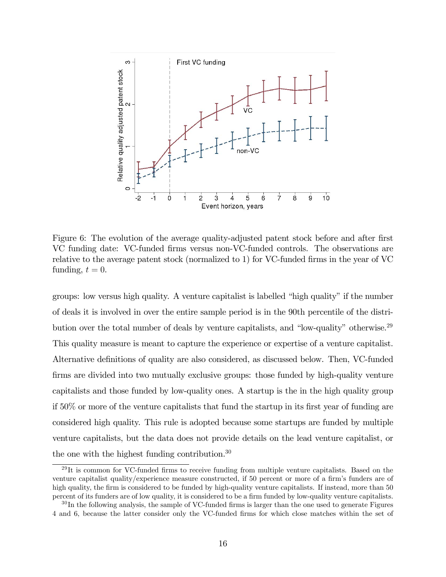

Figure 6: The evolution of the average quality-adjusted patent stock before and after first VC funding date: VC-funded firms versus non-VC-funded controls. The observations are relative to the average patent stock (normalized to 1) for VC-funded firms in the year of VC funding,  $t = 0$ .

groups: low versus high quality. A venture capitalist is labelled "high quality" if the number of deals it is involved in over the entire sample period is in the 90th percentile of the distribution over the total number of deals by venture capitalists, and "low-quality" otherwise.29 This quality measure is meant to capture the experience or expertise of a venture capitalist. Alternative definitions of quality are also considered, as discussed below. Then, VC-funded firms are divided into two mutually exclusive groups: those funded by high-quality venture capitalists and those funded by low-quality ones. A startup is the in the high quality group if 50% or more of the venture capitalists that fund the startup in its first year of funding are considered high quality. This rule is adopted because some startups are funded by multiple venture capitalists, but the data does not provide details on the lead venture capitalist, or the one with the highest funding contribution. $30$ 

 $^{29}$ It is common for VC-funded firms to receive funding from multiple venture capitalists. Based on the venture capitalist quality/experience measure constructed, if 50 percent or more of a firm's funders are of high quality, the firm is considered to be funded by high-quality venture capitalists. If instead, more than 50 percent of its funders are of low quality, it is considered to be a firm funded by low-quality venture capitalists.

<sup>&</sup>lt;sup>30</sup>In the following analysis, the sample of VC-funded firms is larger than the one used to generate Figures 4 and 6, because the latter consider only the VC-funded firms for which close matches within the set of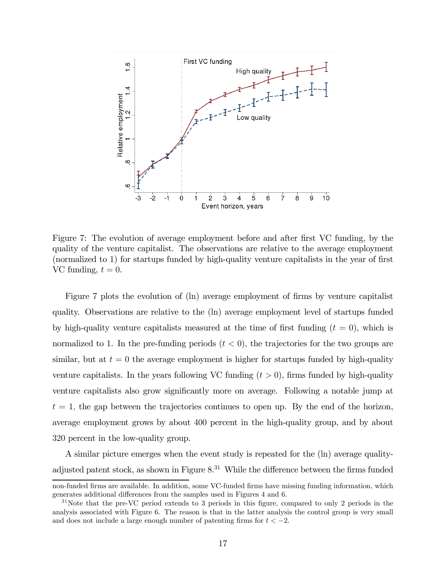

Figure 7: The evolution of average employment before and after first VC funding, by the quality of the venture capitalist. The observations are relative to the average employment (normalized to 1) for startups funded by high-quality venture capitalists in the year of first VC funding,  $t = 0$ .

Figure 7 plots the evolution of (ln) average employment of firms by venture capitalist quality. Observations are relative to the (ln) average employment level of startups funded by high-quality venture capitalists measured at the time of first funding  $(t = 0)$ , which is normalized to 1. In the pre-funding periods  $(t < 0)$ , the trajectories for the two groups are similar, but at  $t = 0$  the average employment is higher for startups funded by high-quality venture capitalists. In the years following VC funding  $(t > 0)$ , firms funded by high-quality venture capitalists also grow significantly more on average. Following a notable jump at  $t = 1$ , the gap between the trajectories continues to open up. By the end of the horizon, average employment grows by about 400 percent in the high-quality group, and by about 320 percent in the low-quality group.

A similar picture emerges when the event study is repeated for the (ln) average qualityadjusted patent stock, as shown in Figure  $8^{31}$  While the difference between the firms funded

non-funded firms are available. In addition, some VC-funded firms have missing funding information, which generates additional differences from the samples used in Figures 4 and 6.

 $31\,\text{Note that the pre-VC period extends to 3 periods in this figure, compared to only 2 periods in the$ analysis associated with Figure 6. The reason is that in the latter analysis the control group is very small and does not include a large enough number of patenting firms for  $t < -2$ .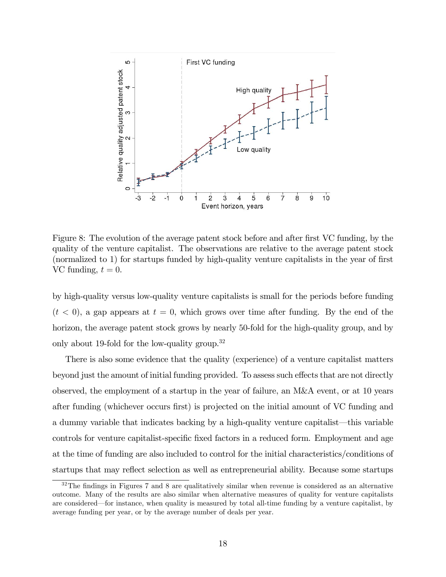

Figure 8: The evolution of the average patent stock before and after first VC funding, by the quality of the venture capitalist. The observations are relative to the average patent stock (normalized to 1) for startups funded by high-quality venture capitalists in the year of first VC funding,  $t = 0$ .

by high-quality versus low-quality venture capitalists is small for the periods before funding  $(t < 0)$ , a gap appears at  $t = 0$ , which grows over time after funding. By the end of the horizon, the average patent stock grows by nearly 50-fold for the high-quality group, and by only about 19-fold for the low-quality group.<sup>32</sup>

There is also some evidence that the quality (experience) of a venture capitalist matters beyond just the amount of initial funding provided. To assess such effects that are not directly observed, the employment of a startup in the year of failure, an M&A event, or at 10 years after funding (whichever occurs first) is projected on the initial amount of VC funding and a dummy variable that indicates backing by a high-quality venture capitalist–this variable controls for venture capitalist-specific fixed factors in a reduced form. Employment and age at the time of funding are also included to control for the initial characteristics/conditions of startups that may reflect selection as well as entrepreneurial ability. Because some startups

 $32$ The findings in Figures 7 and 8 are qualitatively similar when revenue is considered as an alternative outcome. Many of the results are also similar when alternative measures of quality for venture capitalists are considered–for instance, when quality is measured by total all-time funding by a venture capitalist, by average funding per year, or by the average number of deals per year.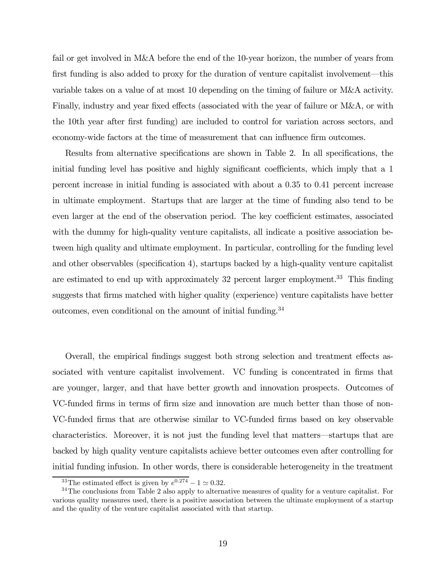fail or get involved in M&A before the end of the 10-year horizon, the number of years from first funding is also added to proxy for the duration of venture capitalist involvement–this variable takes on a value of at most 10 depending on the timing of failure or M&A activity. Finally, industry and year fixed effects (associated with the year of failure or M&A, or with the 10th year after first funding) are included to control for variation across sectors, and economy-wide factors at the time of measurement that can influence firm outcomes.

Results from alternative specifications are shown in Table 2. In all specifications, the initial funding level has positive and highly significant coefficients, which imply that a 1 percent increase in initial funding is associated with about a 035 to 041 percent increase in ultimate employment. Startups that are larger at the time of funding also tend to be even larger at the end of the observation period. The key coefficient estimates, associated with the dummy for high-quality venture capitalists, all indicate a positive association between high quality and ultimate employment. In particular, controlling for the funding level and other observables (specification 4), startups backed by a high-quality venture capitalist are estimated to end up with approximately 32 percent larger employment.<sup>33</sup> This finding suggests that firms matched with higher quality (experience) venture capitalists have better outcomes, even conditional on the amount of initial funding.<sup>34</sup>

Overall, the empirical findings suggest both strong selection and treatment effects associated with venture capitalist involvement. VC funding is concentrated in firms that are younger, larger, and that have better growth and innovation prospects. Outcomes of VC-funded firms in terms of firm size and innovation are much better than those of non-VC-funded firms that are otherwise similar to VC-funded firms based on key observable characteristics. Moreover, it is not just the funding level that matters–startups that are backed by high quality venture capitalists achieve better outcomes even after controlling for initial funding infusion. In other words, there is considerable heterogeneity in the treatment

<sup>&</sup>lt;sup>33</sup>The estimated effect is given by  $e^{0.274} - 1 \approx 0.32$ .<br><sup>34</sup>The conclusions from Table 2 also apply to alternative measures of quality for a venture capitalist. For various quality measures used, there is a positive association between the ultimate employment of a startup and the quality of the venture capitalist associated with that startup.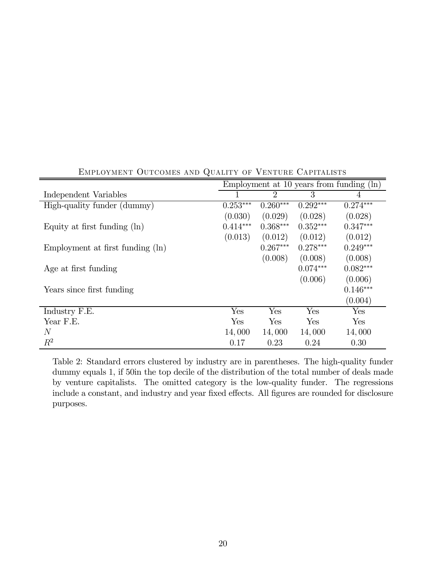|                                  | Employment at 10 years from funding $(\ln)$ |                |            |            |  |  |
|----------------------------------|---------------------------------------------|----------------|------------|------------|--|--|
| Independent Variables            |                                             | $\overline{2}$ | 3          | 4          |  |  |
| High-quality funder (dummy)      | $0.253***$                                  | $0.260***$     | $0.292***$ | $0.274***$ |  |  |
|                                  | (0.030)                                     | (0.029)        | (0.028)    | (0.028)    |  |  |
| Equity at first funding $(\ln)$  | $0.414***$                                  | $0.368***$     | $0.352***$ | $0.347***$ |  |  |
|                                  | (0.013)                                     | (0.012)        | (0.012)    | (0.012)    |  |  |
| Employment at first funding (ln) |                                             | $0.267***$     | $0.278***$ | $0.249***$ |  |  |
|                                  |                                             | (0.008)        | (0.008)    | (0.008)    |  |  |
| Age at first funding             |                                             |                | $0.074***$ | $0.082***$ |  |  |
|                                  |                                             |                | (0.006)    | (0.006)    |  |  |
| Years since first funding        |                                             |                |            | $0.146***$ |  |  |
|                                  |                                             |                |            | (0.004)    |  |  |
| Industry F.E.                    | Yes                                         | Yes            | Yes        | Yes        |  |  |
| Year F.E.                        | Yes                                         | Yes            | Yes        | Yes        |  |  |
| N                                | 14,000                                      | 14,000         | 14,000     | 14,000     |  |  |
| $\,R^2$                          | 0.17                                        | 0.23           | 0.24       | 0.30       |  |  |

Employment Outcomes and Quality of Venture Capitalists

Table 2: Standard errors clustered by industry are in parentheses. The high-quality funder dummy equals 1, if 50in the top decile of the distribution of the total number of deals made by venture capitalists. The omitted category is the low-quality funder. The regressions include a constant, and industry and year fixed effects. All figures are rounded for disclosure purposes.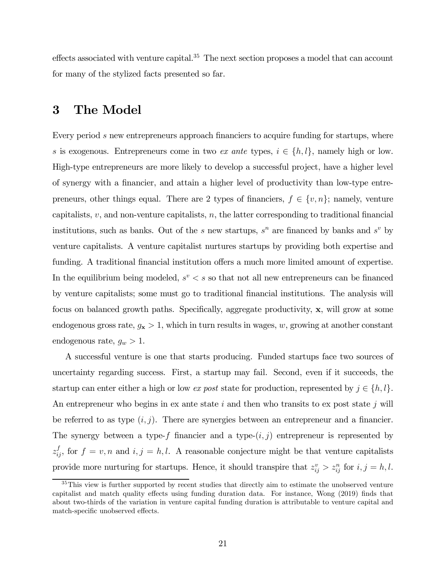effects associated with venture capital.<sup>35</sup> The next section proposes a model that can account for many of the stylized facts presented so far.

## 3 The Model

Every period  $s$  new entrepreneurs approach financiers to acquire funding for startups, where s is exogenous. Entrepreneurs come in two ex ante types,  $i \in \{h, l\}$ , namely high or low. High-type entrepreneurs are more likely to develop a successful project, have a higher level of synergy with a financier, and attain a higher level of productivity than low-type entrepreneurs, other things equal. There are 2 types of financiers,  $f \in \{v, n\}$ ; namely, venture capitalists,  $v$ , and non-venture capitalists,  $n$ , the latter corresponding to traditional financial institutions, such as banks. Out of the  $s$  new startups,  $s^n$  are financed by banks and  $s^v$  by venture capitalists. A venture capitalist nurtures startups by providing both expertise and funding. A traditional financial institution offers a much more limited amount of expertise. In the equilibrium being modeled,  $s^v < s$  so that not all new entrepreneurs can be financed by venture capitalists; some must go to traditional financial institutions. The analysis will focus on balanced growth paths. Specifically, aggregate productivity, x, will grow at some endogenous gross rate,  $g_x > 1$ , which in turn results in wages, w, growing at another constant endogenous rate,  $g_w > 1$ .

A successful venture is one that starts producing. Funded startups face two sources of uncertainty regarding success. First, a startup may fail. Second, even if it succeeds, the startup can enter either a high or low ex post state for production, represented by  $j \in \{h, l\}$ . An entrepreneur who begins in ex ante state  $i$  and then who transits to ex post state  $j$  will be referred to as type  $(i, j)$ . There are synergies between an entrepreneur and a financier. The synergy between a type-f financier and a type- $(i, j)$  entrepreneur is represented by  $z_{ij}^f$ , for  $f = v, n$  and  $i, j = h, l$ . A reasonable conjecture might be that venture capitalists provide more nurturing for startups. Hence, it should transpire that  $z_{ij}^v > z_{ij}^n$  for  $i, j = h, l$ .

<sup>&</sup>lt;sup>35</sup>This view is further supported by recent studies that directly aim to estimate the unobserved venture capitalist and match quality effects using funding duration data. For instance, Wong (2019) finds that about two-thirds of the variation in venture capital funding duration is attributable to venture capital and match-specific unobserved effects.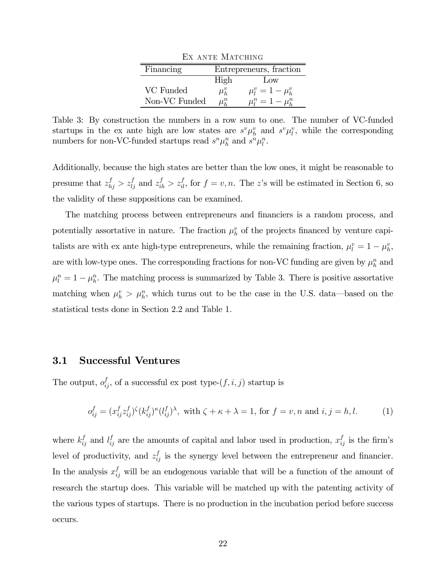| EX ANTE MATCHING |                         |                         |  |  |  |  |  |
|------------------|-------------------------|-------------------------|--|--|--|--|--|
| Financing        | Entrepreneurs, fraction |                         |  |  |  |  |  |
|                  | High                    | Low                     |  |  |  |  |  |
| VC Funded        | $\mu_h^v$               | $\mu_l^v = 1 - \mu_h^v$ |  |  |  |  |  |
| Non-VC Funded    | $\mu_{\iota}^n$         | $\mu_l^n = 1 - \mu_h^n$ |  |  |  |  |  |

Table 3: By construction the numbers in a row sum to one. The number of VC-funded startups in the ex ante high are low states are  $s^v \mu_h^v$  and  $s^v \mu_l^v$ , while the corresponding numbers for non-VC-funded startups read  $s^n \mu_h^n$  and  $s^n \mu_l^n$ .

Additionally, because the high states are better than the low ones, it might be reasonable to presume that  $z_{hj}^f > z_{lj}^f$  and  $z_{ih}^f > z_{il}^f$ , for  $f = v, n$ . The z's will be estimated in Section 6, so the validity of these suppositions can be examined.

The matching process between entrepreneurs and financiers is a random process, and potentially assortative in nature. The fraction  $\mu_h^v$  of the projects financed by venture capitalists are with ex ante high-type entrepreneurs, while the remaining fraction,  $\mu_l^v = 1 - \mu_h^v$ , are with low-type ones. The corresponding fractions for non-VC funding are given by  $\mu_h^n$  and  $\mu_l^n = 1 - \mu_h^n$ . The matching process is summarized by Table 3. There is positive assortative matching when  $\mu_h^v > \mu_h^n$ , which turns out to be the case in the U.S. data—based on the statistical tests done in Section 2.2 and Table 1.

### 3.1 Successful Ventures

The output,  $o_{ij}^f$ , of a successful ex post type- $(f, i, j)$  startup is

$$
o_{ij}^f = (x_{ij}^f z_{ij}^f)^{\zeta} (k_{ij}^f)^{\kappa} (l_{ij}^f)^{\lambda}, \text{ with } \zeta + \kappa + \lambda = 1, \text{ for } f = v, n \text{ and } i, j = h, l. \tag{1}
$$

where  $k_{ij}^f$  and  $l_{ij}^f$  are the amounts of capital and labor used in production,  $x_{ij}^f$  is the firm's level of productivity, and  $z_{ij}^f$  is the synergy level between the entrepreneur and financier. In the analysis  $x_{ij}^f$  will be an endogenous variable that will be a function of the amount of research the startup does. This variable will be matched up with the patenting activity of the various types of startups. There is no production in the incubation period before success occurs.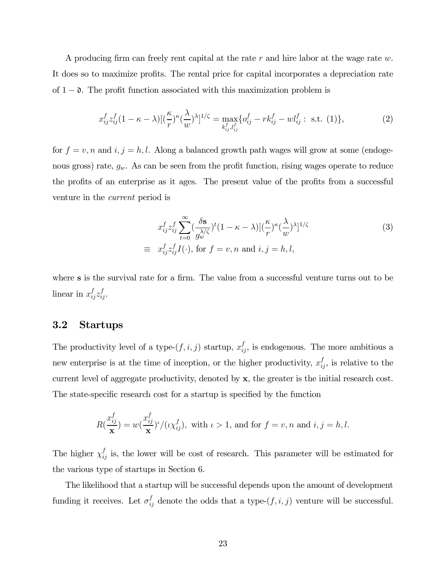A producing firm can freely rent capital at the rate  $r$  and hire labor at the wage rate  $w$ . It does so to maximize profits. The rental price for capital incorporates a depreciation rate of  $1 - \mathfrak{d}$ . The profit function associated with this maximization problem is

$$
x_{ij}^f z_{ij}^f (1 - \kappa - \lambda) [(\frac{\kappa}{r})^{\kappa} (\frac{\lambda}{w})^{\lambda}]^{1/\zeta} = \max_{k_{ij}^f, l_{ij}^f} \{ o_{ij}^f - rk_{ij}^f - w l_{ij}^f : \text{ s.t. } (1) \},
$$
 (2)

for  $f = v, n$  and  $i, j = h, l$ . Along a balanced growth path wages will grow at some (endogenous gross) rate,  $g_w$ . As can be seen from the profit function, rising wages operate to reduce the profits of an enterprise as it ages. The present value of the profits from a successful venture in the current period is

$$
x_{ij}^f z_{ij}^f \sum_{t=0}^{\infty} \left(\frac{\delta \mathbf{s}}{g_w^{\lambda/\zeta}}\right)^t (1 - \kappa - \lambda) \left[\left(\frac{\kappa}{r}\right)^\kappa \left(\frac{\lambda}{w}\right)^\lambda\right]^{1/\zeta}
$$
  
\n
$$
\equiv x_{ij}^f z_{ij}^f I(\cdot), \text{ for } f = v, n \text{ and } i, j = h, l,
$$
\n(3)

where s is the survival rate for a firm. The value from a successful venture turns out to be linear in  $x_{ij}^f z_{ij}^f$ .

### 3.2 Startups

The productivity level of a type- $(f, i, j)$  startup,  $x_{ij}^f$ , is endogenous. The more ambitious a new enterprise is at the time of inception, or the higher productivity,  $x_{ij}^f$ , is relative to the current level of aggregate productivity, denoted by x, the greater is the initial research cost. The state-specific research cost for a startup is specified by the function

$$
R(\frac{x_{ij}^f}{\mathbf{x}}) = w(\frac{x_{ij}^f}{\mathbf{x}})^{\iota}/(\iota \chi_{ij}^f), \text{ with } \iota > 1, \text{ and for } f = v, n \text{ and } i, j = h, l.
$$

The higher  $\chi_{ij}^f$  is, the lower will be cost of research. This parameter will be estimated for the various type of startups in Section 6.

The likelihood that a startup will be successful depends upon the amount of development funding it receives. Let  $\sigma_{ij}^f$  denote the odds that a type- $(f, i, j)$  venture will be successful.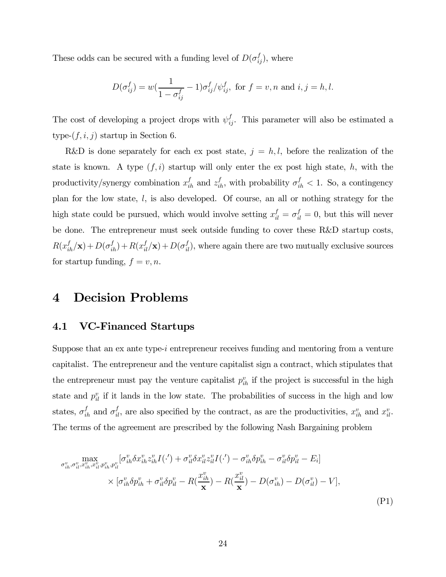These odds can be secured with a funding level of  $D(\sigma_{ij}^f)$ , where

$$
D(\sigma_{ij}^f) = w(\frac{1}{1 - \sigma_{ij}^f} - 1)\sigma_{ij}^f/\psi_{ij}^f, \text{ for } f = v, n \text{ and } i, j = h, l.
$$

The cost of developing a project drops with  $\psi_{ij}^f$ . This parameter will also be estimated a type- $(f, i, j)$  startup in Section 6.

R&D is done separately for each ex post state,  $j = h, l$ , before the realization of the state is known. A type  $(f, i)$  startup will only enter the ex post high state, h, with the productivity/synergy combination  $x_{ih}^f$  and  $z_{ih}^f$ , with probability  $\sigma_{ih}^f < 1$ . So, a contingency plan for the low state,  $l$ , is also developed. Of course, an all or nothing strategy for the high state could be pursued, which would involve setting  $x_{il}^f = \sigma_{il}^f = 0$ , but this will never be done. The entrepreneur must seek outside funding to cover these R&D startup costs,  $R(x_{ih}^f/\mathbf{x}) + D(\sigma_{ih}^f) + R(x_{il}^f/\mathbf{x}) + D(\sigma_{il}^f)$ , where again there are two mutually exclusive sources for startup funding,  $f = v, n$ .

# 4 Decision Problems

### 4.1 VC-Financed Startups

Suppose that an ex ante type- $i$  entrepreneur receives funding and mentoring from a venture capitalist. The entrepreneur and the venture capitalist sign a contract, which stipulates that the entrepreneur must pay the venture capitalist  $p_{ih}^v$  if the project is successful in the high state and  $p_{il}^v$  if it lands in the low state. The probabilities of success in the high and low states,  $\sigma_{ih}^f$  and  $\sigma_{il}^f$ , are also specified by the contract, as are the productivities,  $x_{ih}^v$  and  $x_{il}^v$ . The terms of the agreement are prescribed by the following Nash Bargaining problem

$$
\max_{\sigma_{ih}^v, \sigma_{il}^v, x_{ih}^v, x_{il}^v, p_{ih}^v, p_{il}^v} [\sigma_{ih}^v \delta x_{ih}^v z_{ih}^v I(\cdot') + \sigma_{il}^v \delta x_{il}^v z_{il}^v I(\cdot') - \sigma_{ih}^v \delta p_{ih}^v - \sigma_{il}^v \delta p_{il}^v - E_i]
$$
\n
$$
\times [\sigma_{ih}^v \delta p_{ih}^v + \sigma_{il}^v \delta p_{il}^v - R(\frac{x_{ih}^v}{\mathbf{x}}) - R(\frac{x_{il}^v}{\mathbf{x}}) - D(\sigma_{ih}^v) - D(\sigma_{il}^v) - V],
$$
\n(P1)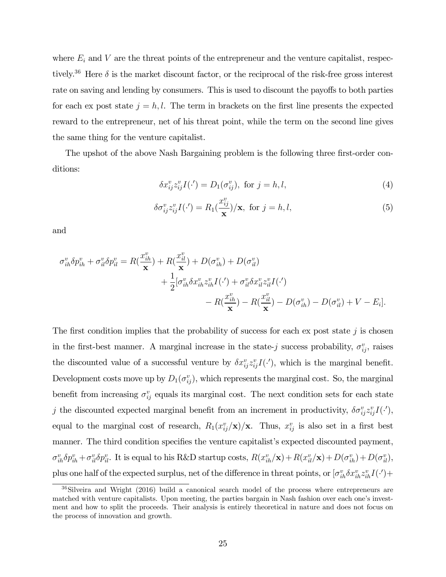where  $E_i$  and V are the threat points of the entrepreneur and the venture capitalist, respectively.<sup>36</sup> Here  $\delta$  is the market discount factor, or the reciprocal of the risk-free gross interest rate on saving and lending by consumers. This is used to discount the payoffs to both parties for each ex post state  $j = h, l$ . The term in brackets on the first line presents the expected reward to the entrepreneur, net of his threat point, while the term on the second line gives the same thing for the venture capitalist.

The upshot of the above Nash Bargaining problem is the following three first-order conditions:

$$
\delta x_{ij}^v z_{ij}^v I(\cdot') = D_1(\sigma_{ij}^v), \text{ for } j = h, l,
$$
\n
$$
(4)
$$

$$
\delta \sigma_{ij}^v z_{ij}^v I(\cdot') = R_1(\frac{x_{ij}^v}{\mathbf{x}})/\mathbf{x}, \text{ for } j = h, l,
$$
\n(5)

and

$$
\sigma_{ih}^v \delta p_{ih}^v + \sigma_{il}^v \delta p_{il}^v = R(\frac{x_{ih}^v}{\mathbf{x}}) + R(\frac{x_{il}^v}{\mathbf{x}}) + D(\sigma_{ih}^v) + D(\sigma_{il}^v)
$$
  
+ 
$$
\frac{1}{2} [\sigma_{ih}^v \delta x_{ih}^v z_{ih}^v I(\cdot') + \sigma_{il}^v \delta x_{il}^v z_{il}^v I(\cdot') - R(\frac{x_{il}^v}{\mathbf{x}}) - R(\frac{x_{il}^v}{\mathbf{x}}) - D(\sigma_{ih}^v) - D(\sigma_{il}^v) + V - E_i].
$$

The first condition implies that the probability of success for each ex post state  $j$  is chosen in the first-best manner. A marginal increase in the state-*j* success probability,  $\sigma_{ij}^v$ , raises the discounted value of a successful venture by  $\delta x_{ij}^v z_{ij}^v I(\cdot')$ , which is the marginal benefit. Development costs move up by  $D_1(\sigma_{ij}^v)$ , which represents the marginal cost. So, the marginal benefit from increasing  $\sigma_{ij}^v$  equals its marginal cost. The next condition sets for each state j the discounted expected marginal benefit from an increment in productivity,  $\delta \sigma_{ij}^v z_{ij}^v I(\cdot)$ , equal to the marginal cost of research,  $R_1(x_{ij}^v/\mathbf{x})/\mathbf{x}$ . Thus,  $x_{ij}^v$  is also set in a first best manner. The third condition specifies the venture capitalist's expected discounted payment,  $\sigma_{ih}^v \delta p_{ih}^v + \sigma_{il}^v \delta p_{il}^v$ . It is equal to his R&D startup costs,  $R(x_{ih}^v/\mathbf{x}) + R(x_{il}^v/\mathbf{x}) + D(\sigma_{ih}^v) + D(\sigma_{il}^v)$ , plus one half of the expected surplus, net of the difference in threat points, or  $[\sigma_{ih}^v \delta x_{ih}^v z_{ih}^v I(\cdot) +$ 

<sup>36</sup>Silveira and Wright (2016) build a canonical search model of the process where entrepreneurs are matched with venture capitalists. Upon meeting, the parties bargain in Nash fashion over each one's investment and how to split the proceeds. Their analysis is entirely theoretical in nature and does not focus on the process of innovation and growth.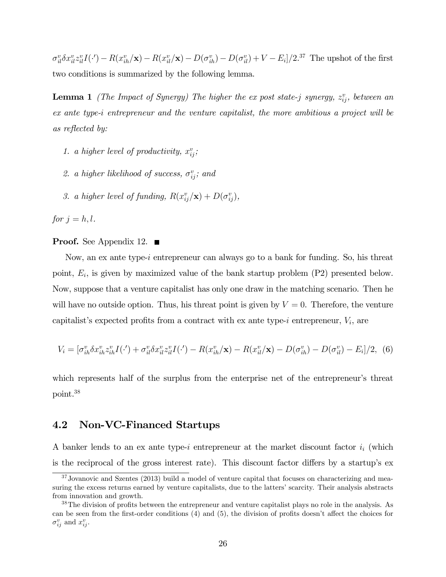$\sigma_{il}^v \delta x_{il}^v z_{il}^v I(\cdot) - R(x_{ih}^v/\mathbf{x}) - R(x_{il}^v/\mathbf{x}) - D(\sigma_{ih}^v) - D(\sigma_{il}^v) + V - E_i]/2^{37}$  The upshot of the first two conditions is summarized by the following lemma.

**Lemma 1** (The Impact of Synergy) The higher the ex-post state-j synergy,  $z_{ij}^v$ , between an ex ante type-i entrepreneur and the venture capitalist, the more ambitious a project will be as reflected by:

- 1. a higher level of productivity,  $x_{ij}^v$ ;
- 2. a higher likelihood of success,  $\sigma_{ij}^v$ ; and
- 3. a higher level of funding,  $R(x_{ij}^v/\mathbf{x}) + D(\sigma_{ij}^v)$ ,

for  $j = h, l$ .

### **Proof.** See Appendix 12. ■

Now, an ex ante type-*i* entrepreneur can always go to a bank for funding. So, his threat point,  $E_i$ , is given by maximized value of the bank startup problem  $(P2)$  presented below. Now, suppose that a venture capitalist has only one draw in the matching scenario. Then he will have no outside option. Thus, his threat point is given by  $V = 0$ . Therefore, the venture capitalist's expected profits from a contract with ex ante type- $i$  entrepreneur,  $V_i$ , are

$$
V_i = [\sigma_{ih}^v \delta x_{ih}^v z_{ih}^v I(\cdot') + \sigma_{il}^v \delta x_{il}^v z_{il}^v I(\cdot') - R(x_{ih}^v / \mathbf{x}) - R(x_{il}^v / \mathbf{x}) - D(\sigma_{ih}^v) - D(\sigma_{il}^v) - E_i]/2, \tag{6}
$$

which represents half of the surplus from the enterprise net of the entrepreneur's threat point.38

### 4.2 Non-VC-Financed Startups

A banker lends to an ex ante type-i entrepreneur at the market discount factor  $i_i$  (which is the reciprocal of the gross interest rate). This discount factor differs by a startup's ex

<sup>&</sup>lt;sup>37</sup>Jovanovic and Szentes (2013) build a model of venture capital that focuses on characterizing and measuring the excess returns earned by venture capitalists, due to the latters' scarcity. Their analysis abstracts from innovation and growth.

<sup>&</sup>lt;sup>38</sup>The division of profits between the entrepreneur and venture capitalist plays no role in the analysis. As can be seen from the first-order conditions (4) and (5), the division of profits doesn't affect the choices for  $\sigma_{ij}^v$  and  $x_{ij}^v$ .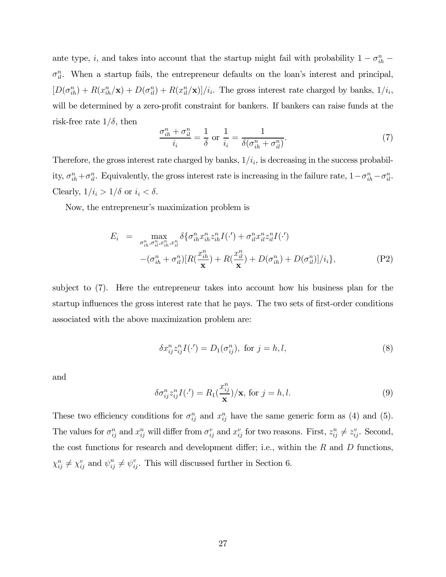ante type, i, and takes into account that the startup might fail with probability  $1 - \sigma_{ih}^n$  –  $\sigma_{il}^n$ . When a startup fails, the entrepreneur defaults on the loan's interest and principal,  $[D(\sigma_{ih}^n) + R(x_{ih}^n/\mathbf{x}) + D(\sigma_{il}^n) + R(x_{il}^n/\mathbf{x})]/i_i$ . The gross interest rate charged by banks,  $1/i_i$ , will be determined by a zero-profit constraint for bankers. If bankers can raise funds at the risk-free rate  $1/\delta$ , then

$$
\frac{\sigma_{ih}^n + \sigma_{il}^n}{i_i} = \frac{1}{\delta} \text{ or } \frac{1}{i_i} = \frac{1}{\delta(\sigma_{ih}^n + \sigma_{il}^n)}.
$$
\n(7)

Therefore, the gross interest rate charged by banks,  $1/i_i$ , is decreasing in the success probability,  $\sigma_{ih}^n + \sigma_{il}^n$ . Equivalently, the gross interest rate is increasing in the failure rate,  $1 - \sigma_{ih}^n - \sigma_{il}^n$ . Clearly,  $1/i_i > 1/\delta$  or  $i_i < \delta.$ 

Now, the entrepreneur's maximization problem is

$$
E_i = \max_{\sigma_{ih}^n, \sigma_{il}^n, x_{ih}^n, x_{il}^n} \delta \{ \sigma_{ih}^n x_{ih}^n z_{ih}^n I(\cdot') + \sigma_{il}^n x_{il}^n z_{il}^n I(\cdot') - (\sigma_{ih}^n + \sigma_{il}^n) [R(\frac{x_{ih}^n}{\mathbf{x}}) + R(\frac{x_{il}^n}{\mathbf{x}}) + D(\sigma_{ih}^n) + D(\sigma_{il}^n)]/i_i \},
$$
\n(P2)

subject to (7). Here the entrepreneur takes into account how his business plan for the startup influences the gross interest rate that he pays. The two sets of first-order conditions associated with the above maximization problem are:

$$
\delta x_{ij}^n z_{ij}^n I(\cdot') = D_1(\sigma_{ij}^n), \text{ for } j = h, l,
$$
\n(8)

and

$$
\delta \sigma_{ij}^n z_{ij}^n I(\cdot') = R_1(\frac{x_{ij}^n}{\mathbf{x}})/\mathbf{x}, \text{ for } j = h, l.
$$
 (9)

These two efficiency conditions for  $\sigma_{ij}^n$  and  $x_{ij}^n$  have the same generic form as (4) and (5). The values for  $\sigma_{ij}^n$  and  $x_{ij}^n$  will differ from  $\sigma_{ij}^v$  and  $x_{ij}^v$  for two reasons. First,  $z_{ij}^n \neq z_{ij}^v$ . Second, the cost functions for research and development differ; i.e., within the  $R$  and  $D$  functions,  $\chi_{ij}^n \neq \chi_{ij}^v$  and  $\psi_{ij}^n \neq \psi_{ij}^v$ . This will discussed further in Section 6.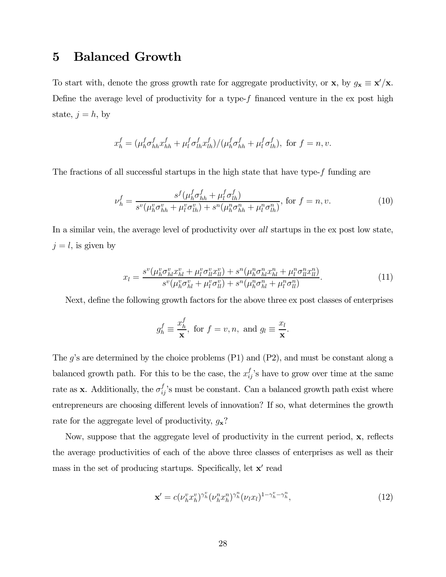## 5 Balanced Growth

To start with, denote the gross growth rate for aggregate productivity, or  $\mathbf{x}$ , by  $g_{\mathbf{x}} \equiv \mathbf{x}'/\mathbf{x}$ . Define the average level of productivity for a type- $f$  financed venture in the ex post high state,  $j = h$ , by

$$
x_h^f = (\mu_h^f \sigma_{hh}^f x_{hh}^f + \mu_l^f \sigma_{lh}^f x_{lh}^f) / (\mu_h^f \sigma_{hh}^f + \mu_l^f \sigma_{lh}^f),
$$
 for  $f = n, v$ .

The fractions of all successful startups in the high state that have type- $f$  funding are

$$
\nu_h^f = \frac{s^f(\mu_h^f \sigma_{hh}^f + \mu_l^f \sigma_{lh}^f)}{s^v(\mu_h^v \sigma_{hh}^v + \mu_l^v \sigma_{lh}^v) + s^u(\mu_h^v \sigma_{hh}^n + \mu_l^v \sigma_{lh}^n)}, \text{ for } f = n, v. \tag{10}
$$

In a similar vein, the average level of productivity over all startups in the ex post low state,  $j = l$ , is given by

$$
x_{l} = \frac{s^{v}(\mu_{h}^{v}\sigma_{hl}^{v}x_{hl}^{v} + \mu_{l}^{v}\sigma_{ll}^{v}x_{ll}^{v}) + s^{n}(\mu_{h}^{n}\sigma_{hl}^{n}x_{hl}^{n} + \mu_{l}^{n}\sigma_{ll}^{n}x_{ll}^{n})}{s^{v}(\mu_{h}^{v}\sigma_{hl}^{v} + \mu_{l}^{v}\sigma_{ll}^{v}) + s^{n}(\mu_{h}^{n}\sigma_{hl}^{n} + \mu_{l}^{n}\sigma_{ll}^{n})}.
$$
\n(11)

Next, define the following growth factors for the above three ex post classes of enterprises

$$
g_h^f \equiv \frac{x_h^f}{\mathbf{x}}, \text{ for } f = v, n, \text{ and } g_l \equiv \frac{x_l}{\mathbf{x}}.
$$

The  $g$ 's are determined by the choice problems (P1) and (P2), and must be constant along a balanced growth path. For this to be the case, the  $x_{ij}^f$ 's have to grow over time at the same rate as **x**. Additionally, the  $\sigma_{ij}^f$ 's must be constant. Can a balanced growth path exist where entrepreneurs are choosing different levels of innovation? If so, what determines the growth rate for the aggregate level of productivity,  $g_x$ ?

Now, suppose that the aggregate level of productivity in the current period, x, reflects the average productivities of each of the above three classes of enterprises as well as their mass in the set of producing startups. Specifically, let  $x'$  read

$$
\mathbf{x}' = c(\nu_h^v x_h^v)^{\gamma_h^v} (\nu_h^n x_h^n)^{\gamma_h^n} (\nu_l x_l)^{1 - \gamma_h^v - \gamma_h^n},\tag{12}
$$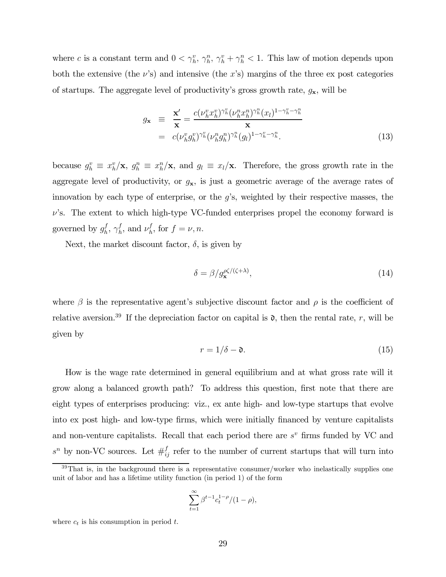where c is a constant term and  $0 < \gamma_h^v$ ,  $\gamma_h^v$ ,  $\gamma_h^v$  +  $\gamma_h^v$  < 1. This law of motion depends upon both the extensive (the  $\nu$ 's) and intensive (the x's) margins of the three ex post categories of startups. The aggregate level of productivity's gross growth rate,  $g_{\mathbf{x}}$ , will be

$$
g_{\mathbf{x}} \equiv \frac{\mathbf{x}'}{\mathbf{x}} = \frac{c(\nu_h^v x_h^v)^{\gamma_h^v} (\nu_h^n x_h^n)^{\gamma_h^n} (x_l)^{1-\gamma_h^v-\gamma_h^n}}{\mathbf{x}}
$$
  

$$
= c(\nu_h^v g_h^v)^{\gamma_h^v} (\nu_h^n g_h^n)^{\gamma_h^n} (g_l)^{1-\gamma_h^v-\gamma_h^n}.
$$
 (13)

because  $g_h^v \equiv x_h^v / \mathbf{x}$ ,  $g_h^n \equiv x_h^n / \mathbf{x}$ , and  $g_l \equiv x_l / \mathbf{x}$ . Therefore, the gross growth rate in the aggregate level of productivity, or  $g_x$ , is just a geometric average of the average rates of innovation by each type of enterprise, or the  $g$ 's, weighted by their respective masses, the  $\nu$ 's. The extent to which high-type VC-funded enterprises propel the economy forward is governed by  $g_h^f$ ,  $\gamma_h^f$ , and  $\nu_h^f$ , for  $f = \nu, n$ .

Next, the market discount factor,  $\delta$ , is given by

$$
\delta = \beta / g_{\mathbf{x}}^{\rho\zeta/(\zeta + \lambda)},\tag{14}
$$

where  $\beta$  is the representative agent's subjective discount factor and  $\rho$  is the coefficient of relative aversion.<sup>39</sup> If the depreciation factor on capital is  $\mathfrak{d}$ , then the rental rate, r, will be given by

$$
r = 1/\delta - \mathfrak{d}.\tag{15}
$$

How is the wage rate determined in general equilibrium and at what gross rate will it grow along a balanced growth path? To address this question, first note that there are eight types of enterprises producing: viz., ex ante high- and low-type startups that evolve into ex post high- and low-type firms, which were initially financed by venture capitalists and non-venture capitalists. Recall that each period there are  $s<sup>v</sup>$  firms funded by VC and  $s^n$  by non-VC sources. Let  $\#_{ij}^f$  refer to the number of current startups that will turn into

$$
\sum_{t=1}^{\infty} \beta^{t-1} c_t^{1-\rho} / (1-\rho),
$$

where  $c_t$  is his consumption in period  $t$ .

 $39$ That is, in the background there is a representative consumer/worker who inelastically supplies one unit of labor and has a lifetime utility function (in period 1) of the form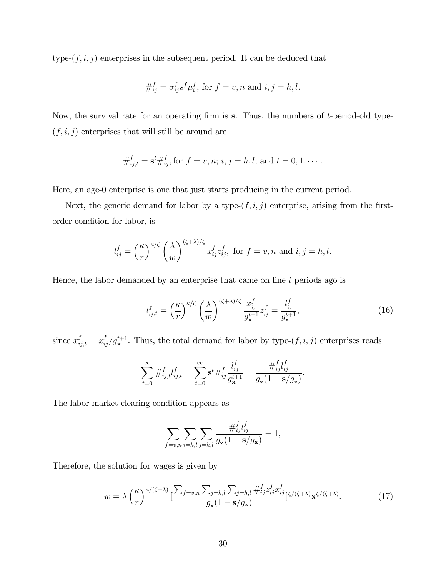type- $(f, i, j)$  enterprises in the subsequent period. It can be deduced that

$$
\#_{ij}^f = \sigma_{ij}^f s^f \mu_i^f, \text{ for } f = v, n \text{ and } i, j = h, l.
$$

Now, the survival rate for an operating firm is  $s$ . Thus, the numbers of  $t$ -period-old type- $(f, i, j)$  enterprises that will still be around are

$$
\#_{ij,t}^f = \mathbf{s}^t \#_{ij}^f
$$
, for  $f = v, n; i, j = h, l$ ; and  $t = 0, 1, \cdots$ .

Here, an age-0 enterprise is one that just starts producing in the current period.

Next, the generic demand for labor by a type- $(f, i, j)$  enterprise, arising from the firstorder condition for labor, is

$$
l_{ij}^f = \left(\frac{\kappa}{r}\right)^{\kappa/\zeta} \left(\frac{\lambda}{w}\right)^{(\zeta+\lambda)/\zeta} x_{ij}^f z_{ij}^f, \text{ for } f = v, n \text{ and } i, j = h, l.
$$

Hence, the labor demanded by an enterprise that came on line  $t$  periods ago is

$$
l_{ij,t}^f = \left(\frac{\kappa}{r}\right)^{\kappa/\zeta} \left(\frac{\lambda}{w}\right)^{(\zeta+\lambda)/\zeta} \frac{x_{ij}^f}{g_{\mathbf{x}}^{t+1}} z_{ij}^f = \frac{l_{ij}^f}{g_{\mathbf{x}}^{t+1}},\tag{16}
$$

since  $x_{ij,t}^f = x_{ij}^f / g_{\mathbf{x}}^{t+1}$ . Thus, the total demand for labor by type- $(f, i, j)$  enterprises reads

$$
\sum_{t=0}^{\infty} \#_{ij,t}^f l_{ij,t}^f = \sum_{t=0}^{\infty} \mathbf{s}^t \#_{ij}^f \frac{l_{ij}^f}{g_{\mathbf{x}}^{t+1}} = \frac{\#_{ij}^f l_{ij}^f}{g_{\mathbf{x}} (1 - \mathbf{s}/g_{\mathbf{x}})}.
$$

The labor-market clearing condition appears as

$$
\sum_{f=v,n} \sum_{i=h,l} \sum_{j=h,l} \frac{\#_{ij}^f l_{ij}^f}{g_x (1 - \mathbf{s}/g_x)} = 1,
$$

Therefore, the solution for wages is given by

$$
w = \lambda \left(\frac{\kappa}{r}\right)^{\kappa/(\zeta+\lambda)} \left[\frac{\sum_{f=v,n} \sum_{j=h,l} \sum_{j=h,l} \#_{ij}^f z_{ij}^f x_{ij}^f}{g_x (1 - \mathbf{s}/g_\mathbf{x})}\right]^{\zeta/(\zeta+\lambda)} \mathbf{x}^{\zeta/(\zeta+\lambda)}.\tag{17}
$$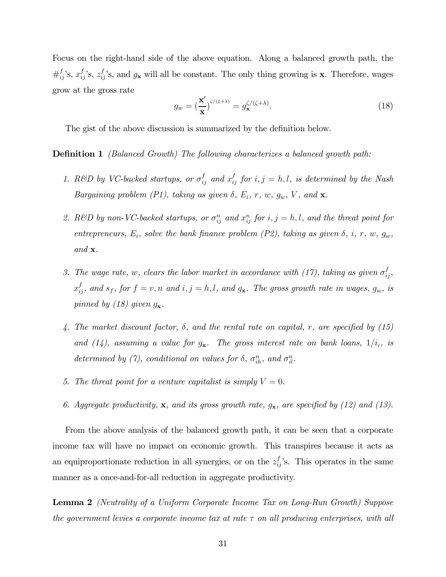Focus on the right-hand side of the above equation. Along a balanced growth path, the  $\#_{ij}^f$ 's,  $x_{ij}^f$ 's,  $z_{ij}^f$ 's, and  $g_{\mathbf{x}}$  will all be constant. The only thing growing is **x**. Therefore, wages grow at the gross rate

$$
g_w = \left(\frac{\mathbf{x}'}{\mathbf{x}}\right)^{\zeta/(\zeta+\lambda)} = g_\mathbf{x}^{\zeta/(\zeta+\lambda)}.\tag{18}
$$

The gist of the above discussion is summarized by the definition below.

### Definition 1 (Balanced Growth) The following characterizes a balanced growth path:

- 1. R&D by VC-backed startups, or  $\sigma_{ij}^f$  and  $x_{ij}^f$  for  $i, j = h, l$ , is determined by the Nash Bargaining problem (P1), taking as given  $\delta$ ,  $E_i$ ,  $r$ ,  $w$ ,  $g_w$ ,  $V$ , and  $\mathbf{x}$ .
- 2. R&D by non-VC-backed startups, or  $\sigma_{ij}^n$  and  $x_{ij}^n$  for  $i, j = h, l$ , and the threat point for entrepreneurs,  $E_i$ , solve the bank finance problem (P2), taking as given  $\delta$ , i, r, w,  $g_w$ , and x.
- 3. The wage rate, w, clears the labor market in accordance with (17), taking as given  $\sigma_{ij}^f$ ,  $x_{ij}^f$ , and  $s_f$ , for  $f = v, n$  and  $i, j = h, l$ , and  $g_x$ . The gross growth rate in wages,  $g_w$ , is pinned by (18) given  $g_{\mathbf{x}}$ .
- 4. The market discount factor,  $\delta$ , and the rental rate on capital, r, are specified by (15) and (14), assuming a value for  $g_{\mathbf{x}}$ . The gross interest rate on bank loans,  $1/i_i$ , is determined by (7), conditional on values for  $\delta$ ,  $\sigma_{ih}^n$ , and  $\sigma_{il}^n$ .
- 5. The threat point for a venture capitalist is simply  $V = 0$ .
- 6. Aggregate productivity, **x**, and its gross growth rate,  $g_{\mathbf{x}}$ , are specified by (12) and (13).

From the above analysis of the balanced growth path, it can be seen that a corporate income tax will have no impact on economic growth. This transpires because it acts as an equiproportionate reduction in all synergies, or on the  $z_{ij}^f$ 's. This operates in the same manner as a once-and-for-all reduction in aggregate productivity.

Lemma 2 (Neutrality of a Uniform Corporate Income Tax on Long-Run Growth) Suppose the government levies a corporate income tax at rate  $\tau$  on all producing enterprises, with all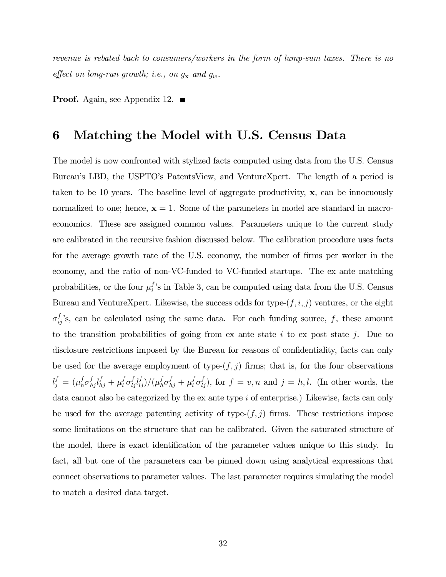revenue is rebated back to consumers/workers in the form of lump-sum taxes. There is no effect on long-run growth; i.e., on  $g_{\mathbf{x}}$  and  $g_w$ .

**Proof.** Again, see Appendix 12.  $\blacksquare$ 

## 6 Matching the Model with U.S. Census Data

The model is now confronted with stylized facts computed using data from the U.S. Census Bureau's LBD, the USPTO's PatentsView, and VentureXpert. The length of a period is taken to be 10 years. The baseline level of aggregate productivity,  $x$ , can be innocuously normalized to one; hence,  $x = 1$ . Some of the parameters in model are standard in macroeconomics. These are assigned common values. Parameters unique to the current study are calibrated in the recursive fashion discussed below. The calibration procedure uses facts for the average growth rate of the U.S. economy, the number of firms per worker in the economy, and the ratio of non-VC-funded to VC-funded startups. The ex ante matching probabilities, or the four  $\mu_i^f$ 's in Table 3, can be computed using data from the U.S. Census Bureau and VentureXpert. Likewise, the success odds for type- $(f, i, j)$  ventures, or the eight  $\sigma_{ij}^f$ 's, can be calculated using the same data. For each funding source, f, these amount to the transition probabilities of going from ex ante state  $i$  to ex post state  $j$ . Due to disclosure restrictions imposed by the Bureau for reasons of confidentiality, facts can only be used for the average employment of type- $(f, j)$  firms; that is, for the four observations  $l_j^f = (\mu_h^f \sigma_{hj}^f l_{hj}^f + \mu_l^f \sigma_{lj}^f l_{ij}^f)/(\mu_h^f \sigma_{hj}^f + \mu_l^f \sigma_{lj}^f)$ , for  $f = v, n$  and  $j = h, l$ . (In other words, the data cannot also be categorized by the  $\alpha$  ante type  $i$  of enterprise.) Likewise, facts can only be used for the average patenting activity of type- $(f, j)$  firms. These restrictions impose some limitations on the structure that can be calibrated. Given the saturated structure of the model, there is exact identification of the parameter values unique to this study. In fact, all but one of the parameters can be pinned down using analytical expressions that connect observations to parameter values. The last parameter requires simulating the model to match a desired data target.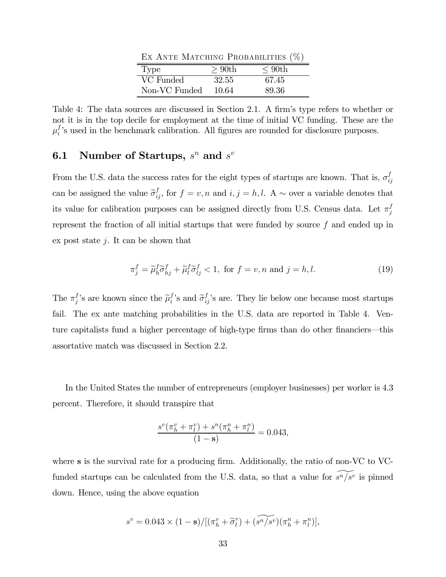EX ANTE MATCHING PROBABILITIES  $(\%)$ 

| Type          | $>90$ th | $\rm < 90th$ |
|---------------|----------|--------------|
| VC Funded     | 32.55    | 67.45        |
| Non-VC Funded | 10.64    | 89.36        |

Table 4: The data sources are discussed in Section 2.1. A firm's type refers to whether or not it is in the top decile for employment at the time of initial VC funding. These are the  $\mu_i^f$ 's used in the benchmark calibration. All figures are rounded for disclosure purposes.

## **6.1** Number of Startups,  $s^n$  and  $s^v$

From the U.S. data the success rates for the eight types of startups are known. That is,  $\sigma_{ij}^f$ can be assigned the value  $\tilde{\sigma}_{ij}^f$ , for  $f = v, n$  and  $i, j = h, l$ . A  $\sim$  over a variable denotes that its value for calibration purposes can be assigned directly from U.S. Census data. Let  $\pi_j^f$ represent the fraction of all initial startups that were funded by source  $f$  and ended up in ex post state  $j$ . It can be shown that

$$
\pi_j^f = \tilde{\mu}_h^f \tilde{\sigma}_{hj}^f + \tilde{\mu}_l^f \tilde{\sigma}_{lj}^f < 1, \text{ for } f = v, n \text{ and } j = h, l. \tag{19}
$$

The  $\pi_j^f$ 's are known since the  $\tilde{\mu}_i^f$ 's and  $\tilde{\sigma}_{ij}^f$ 's are. They lie below one because most startups fail. The ex ante matching probabilities in the U.S. data are reported in Table 4. Venture capitalists fund a higher percentage of high-type firms than do other financiers–this assortative match was discussed in Section 2.2.

In the United States the number of entrepreneurs (employer businesses) per worker is 4.3 percent. Therefore, it should transpire that

$$
\frac{s^v(\pi_h^v + \pi_l^v) + s^n(\pi_h^n + \pi_l^n)}{(1 - \mathbf{s})} = 0.043,
$$

where s is the survival rate for a producing firm. Additionally, the ratio of non-VC to VCfunded startups can be calculated from the U.S. data, so that a value for  $s^n/s^v$  is pinned down. Hence, using the above equation

$$
s^v = 0.043 \times (1 - \mathbf{s})/[(\pi_h^v + \widetilde{\sigma}_l^v) + (\widetilde{s^n/s^v})(\pi_h^n + \pi_l^n)],
$$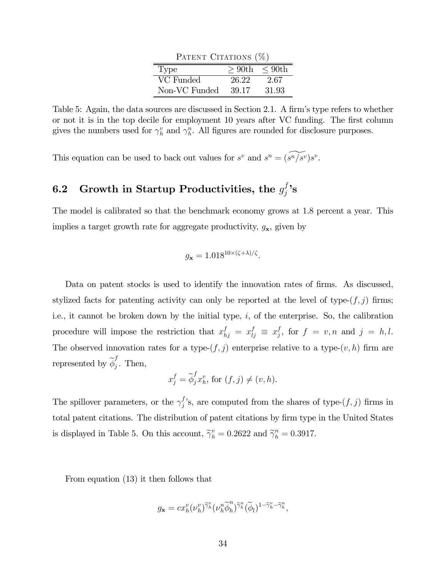| PATENT CITATIONS (%) |       |                 |
|----------------------|-------|-----------------|
| Type                 |       | $> 90th$ < 90th |
| VC Funded            | 26.22 | 2.67            |
| Non-VC Funded        | 39.17 | 31.93           |

Table 5: Again, the data sources are discussed in Section 2.1. A firm's type refers to whether or not it is in the top decile for employment 10 years after VC funding. The first column gives the numbers used for  $\gamma_h^v$  and  $\gamma_h^n$ . All figures are rounded for disclosure purposes.

This equation can be used to back out values for  $s^v$  and  $s^n = (s^n/s^v)s^v$ .

# 6.2 Growth in Startup Productivities, the  $g_j^f$ 's

The model is calibrated so that the benchmark economy grows at 1.8 percent a year. This implies a target growth rate for aggregate productivity,  $g_{\mathbf{x}}$ , given by

$$
g_{\mathbf{x}} = 1.018^{10 \times (\zeta + \lambda)/\zeta}.
$$

Data on patent stocks is used to identify the innovation rates of firms. As discussed, stylized facts for patenting activity can only be reported at the level of type- $(f, j)$  firms; i.e., it cannot be broken down by the initial type,  $i$ , of the enterprise. So, the calibration procedure will impose the restriction that  $x_{hj}^f = x_{lj}^f \equiv x_j^f$ , for  $f = v, n$  and  $j = h, l$ . The observed innovation rates for a type- $(f, j)$  enterprise relative to a type- $(v, h)$  firm are represented by  $\widetilde{\phi}_j^f$ . Then,

$$
x_j^f = \widetilde{\phi}_j^f x_h^v, \text{ for } (f, j) \neq (v, h).
$$

The spillover parameters, or the  $\gamma_j^f$ 's, are computed from the shares of type- $(f, j)$  firms in total patent citations. The distribution of patent citations by firm type in the United States is displayed in Table 5. On this account,  $\tilde{\gamma}_h^v = 0.2622$  and  $\tilde{\gamma}_h^n = 0.3917$ .

From equation (13) it then follows that

$$
g_{\mathbf{x}} = cx_{h}^{v}(\nu_{h}^{v})^{\widetilde{\gamma}_{h}^{v}}(\nu_{h}^{n}\widetilde{\phi}_{h}^{n})^{\widetilde{\gamma}_{h}^{n}}(\widetilde{\phi}_{l})^{1-\widetilde{\gamma}_{h}^{v}-\widetilde{\gamma}_{h}^{n}},
$$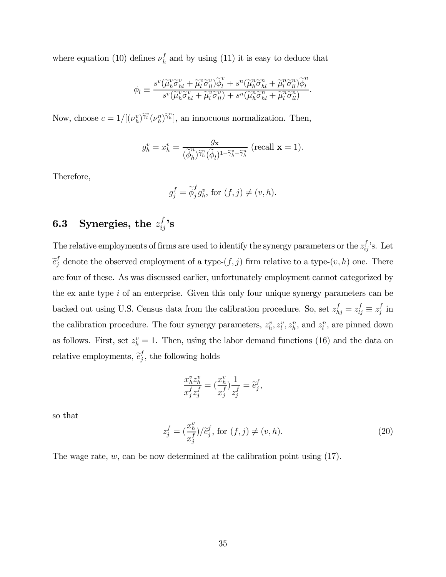where equation (10) defines  $\nu_h^f$  and by using (11) it is easy to deduce that

$$
\phi_l \equiv \frac{s^v(\widetilde{\mu}_h^v \widetilde{\sigma}_{hl}^v + \widetilde{\mu}_l^v \widetilde{\sigma}_{ll}^v)\widetilde{\phi}_l^v + s^u(\widetilde{\mu}_h^n \widetilde{\sigma}_{hl}^n + \widetilde{\mu}_l^n \widetilde{\sigma}_{ll}^n)\widetilde{\phi}_l^n}{s^v(\widetilde{\mu}_h^v \widetilde{\sigma}_{hl}^v + \widetilde{\mu}_l^v \widetilde{\sigma}_{ll}^v) + s^u(\widetilde{\mu}_h^n \widetilde{\sigma}_{hl}^n + \widetilde{\mu}_l^n \widetilde{\sigma}_{ll}^n)}.
$$

Now, choose  $c = 1/[(\nu_h^v)^{\tilde{\gamma}_l^v}(\nu_h^n)^{\tilde{\gamma}_h^v}],$  an innocuous normalization. Then,

$$
g_h^v = x_h^v = \frac{g_{\mathbf{x}}}{(\widetilde{\phi}_h^n)^{\widetilde{\gamma}_h^n}(\widetilde{\phi}_l)^{1-\widetilde{\gamma}_h^v-\widetilde{\gamma}_h^n}} \text{ (recall } \mathbf{x} = 1\text{)}.
$$

Therefore,

$$
g_j^f = \widetilde{\phi}_j^f g_k^v
$$
, for  $(f, j) \neq (v, h)$ .

# 6.3 Synergies, the  $z_{ij}^f$ 's

The relative employments of firms are used to identify the synergy parameters or the  $z_{ij}^f$ 's. Let  $\widetilde{e}_j^f$  denote the observed employment of a type- $(f, j)$  firm relative to a type- $(v, h)$  one. There are four of these. As was discussed earlier, unfortunately employment cannot categorized by the ex ante type  $i$  of an enterprise. Given this only four unique synergy parameters can be backed out using U.S. Census data from the calibration procedure. So, set  $z_{hj}^f = z_{lj}^f \equiv z_j^f$  in the calibration procedure. The four synergy parameters,  $z_k^v, z_l^v, z_h^n$ , and  $z_l^n$ , are pinned down as follows. First, set  $z_h^v = 1$ . Then, using the labor demand functions (16) and the data on relative employments,  $\tilde{e}_j^f$ , the following holds

$$
\frac{x_h^v z_h^v}{x_j^f z_j^f} = \left(\frac{x_h^v}{x_j^f}\right) \frac{1}{z_j^f} = \tilde{e}_j^f,
$$

so that

$$
z_j^f = \left(\frac{x_h^v}{x_j^f}\right)/\tilde{e}_j^f, \text{ for } (f, j) \neq (v, h). \tag{20}
$$

The wage rate,  $w$ , can be now determined at the calibration point using (17).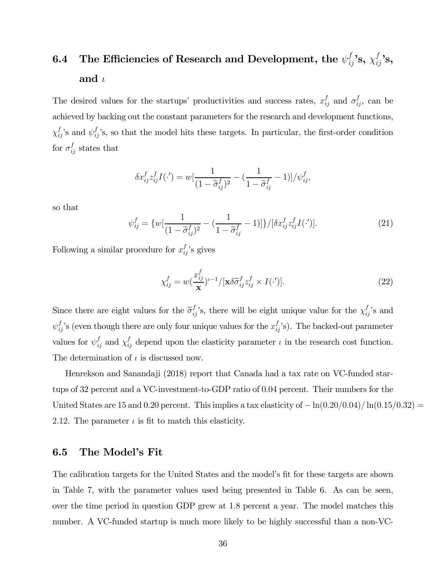# 6.4 The Efficiencies of Research and Development, the  $\psi_{ij}^f$ 's,  $\chi_{ij}^f$ 's, and  $\iota$

The desired values for the startups' productivities and success rates,  $x_{ij}^f$  and  $\sigma_{ij}^f$ , can be achieved by backing out the constant parameters for the research and development functions,  $\chi_{ij}^f$ 's and  $\psi_{ij}^f$ 's, so that the model hits these targets. In particular, the first-order condition for  $\sigma_{ij}^f$  states that

$$
\delta x_{ij}^f z_{ij}^f I(\cdot') = w \left[ \frac{1}{(1 - \widetilde{\sigma}_{ij}^f)^2} - \left( \frac{1}{1 - \widetilde{\sigma}_{ij}^f} - 1 \right) \right] / \psi_{ij}^f,
$$

so that

$$
\psi_{ij}^f = \{ w \left[ \frac{1}{(1 - \tilde{\sigma}_{ij}^f)^2} - \left( \frac{1}{1 - \tilde{\sigma}_{ij}^f} - 1 \right) \right] \} / [\delta x_{ij}^f z_{ij}^f I(\cdot')]. \tag{21}
$$

Following a similar procedure for  $x_{ij}^f$ 's gives

$$
\chi_{ij}^f = w(\frac{x_{ij}^f}{\mathbf{x}})^{t-1} / [\mathbf{x} \delta \widetilde{\sigma}_{ij}^f z_{ij}^f \times I(\cdot')]. \tag{22}
$$

Since there are eight values for the  $\tilde{\sigma}_{ij}^f$ 's, there will be eight unique value for the  $\chi_{ij}^f$ 's and  $\psi_{ij}^f$ 's (even though there are only four unique values for the  $x_{ij}^f$ 's). The backed-out parameter values for  $\psi_{ij}^f$  and  $\chi_{ij}^f$  depend upon the elasticity parameter  $\iota$  in the research cost function. The determination of  $\iota$  is discussed now.

Henrekson and Sanandaji (2018) report that Canada had a tax rate on VC-funded startups of 32 percent and a VC-investment-to-GDP ratio of 0.04 percent. Their numbers for the United States are 15 and 0.20 percent. This implies a tax elasticity of  $-\ln(0.20/0.04)/\ln(0.15/0.32)$ 2.12. The parameter  $\iota$  is fit to match this elasticity.

### 6.5 The Model's Fit

The calibration targets for the United States and the model's fit for these targets are shown in Table 7, with the parameter values used being presented in Table 6. As can be seen, over the time period in question GDP grew at 1.8 percent a year. The model matches this number. A VC-funded startup is much more likely to be highly successful than a non-VC-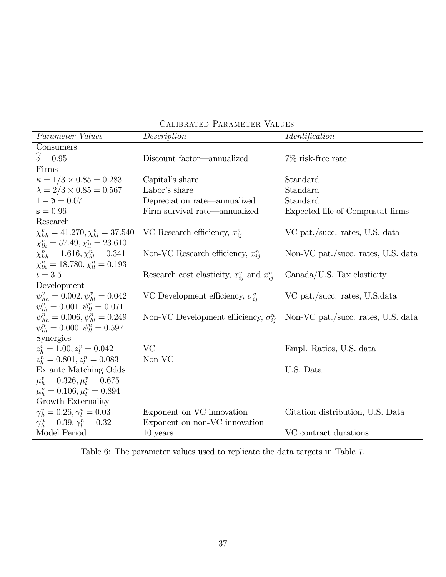| Parameter Values                               | Description                                         | <i><u><b>Identification</b></u></i> |
|------------------------------------------------|-----------------------------------------------------|-------------------------------------|
| Consumers                                      |                                                     |                                     |
| $\widehat{\delta} = 0.95$                      | Discount factor—annualized                          | $7\%$ risk-free rate                |
| Firms                                          |                                                     |                                     |
| $\kappa = 1/3 \times 0.85 = 0.283$             | Capital's share                                     | Standard                            |
| $\lambda = 2/3 \times 0.85 = 0.567$            | Labor's share                                       | Standard                            |
| $1 - \mathfrak{d} = 0.07$                      | Depreciation rate—annualized                        | Standard                            |
| $s = 0.96$                                     | Firm survival rate—annualized                       | Expected life of Compustat firms    |
| Research                                       |                                                     |                                     |
| $\chi_{hh}^v = 41.270, \chi_{hl}^v = 37.540$   | VC Research efficiency, $x_{ii}^{v}$                | VC pat./succ. rates, U.S. data      |
| $\chi_{lh}^v = 57.49, \chi_{ll}^v = 23.610$    |                                                     |                                     |
| $\chi_{hh}^n = 1.616, \chi_{hl}^n = 0.341$     | Non-VC Research efficiency, $x_{ii}^{n}$            | Non-VC pat./succ. rates, U.S. data  |
| $\chi_{lh}^n = 18.780, \chi_{ll}^n = 0.193$    |                                                     |                                     |
| $\iota = 3.5$                                  | Research cost elasticity, $x_{ij}^v$ and $x_{ij}^n$ | $Canada/US.$ Tax elasticity         |
| Development                                    |                                                     |                                     |
| $\psi_{hh}^v = 0.002, \psi_{hl}^v = 0.042$     | VC Development efficiency, $\sigma_{ii}^{v}$        | VC pat./succ. rates, U.S.data       |
| $\psi_{lh}^v = 0.001, \psi_{lh}^v = 0.071$     |                                                     |                                     |
| $\psi_{hh}^{n} = 0.006, \psi_{hl}^{n} = 0.249$ | Non-VC Development efficiency, $\sigma_{ij}^n$      | Non-VC pat./succ. rates, U.S. data  |
| $\psi_{1h}^n = 0.000, \psi_{1h}^n = 0.597$     |                                                     |                                     |
| <b>Synergies</b>                               |                                                     |                                     |
| $z_k^v = 1.00, z_l^v = 0.042$                  | <b>VC</b>                                           | Empl. Ratios, U.S. data             |
| $z_h^n = 0.801, z_l^n = 0.083$                 | Non-VC                                              |                                     |
| Ex ante Matching Odds                          |                                                     | U.S. Data                           |
| $\mu_h^v = 0.326, \mu_l^v = 0.675$             |                                                     |                                     |
| $\mu_h^n = 0.106, \mu_l^n = 0.894$             |                                                     |                                     |
| Growth Externality                             |                                                     |                                     |
| $\gamma_h^v = 0.26, \gamma_l^v = 0.03$         | Exponent on VC innovation                           | Citation distribution, U.S. Data    |
| $\gamma_h^n = 0.39, \gamma_l^n = 0.32$         | Exponent on non-VC innovation                       |                                     |
| Model Period                                   | $10$ years                                          | VC contract durations               |

Calibrated Parameter Values

Table 6: The parameter values used to replicate the data targets in Table 7.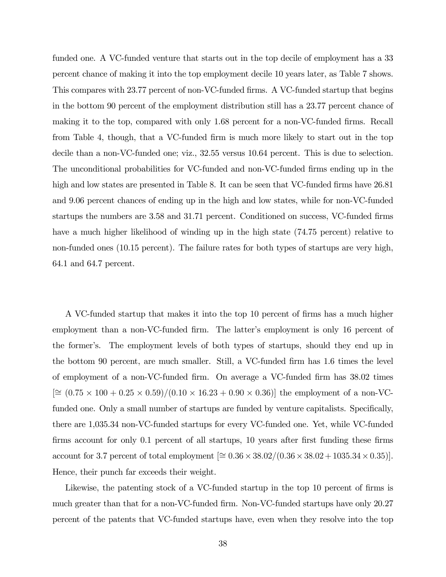funded one. A VC-funded venture that starts out in the top decile of employment has a 33 percent chance of making it into the top employment decile 10 years later, as Table 7 shows. This compares with 23.77 percent of non-VC-funded firms. A VC-funded startup that begins in the bottom 90 percent of the employment distribution still has a 23.77 percent chance of making it to the top, compared with only 1.68 percent for a non-VC-funded firms. Recall from Table 4, though, that a VC-funded firm is much more likely to start out in the top decile than a non-VC-funded one; viz., 32.55 versus 10.64 percent. This is due to selection. The unconditional probabilities for VC-funded and non-VC-funded firms ending up in the high and low states are presented in Table 8. It can be seen that VC-funded firms have 26.81 and 9.06 percent chances of ending up in the high and low states, while for non-VC-funded startups the numbers are 3.58 and 31.71 percent. Conditioned on success, VC-funded firms have a much higher likelihood of winding up in the high state (74.75 percent) relative to non-funded ones (10.15 percent). The failure rates for both types of startups are very high, 64.1 and 64.7 percent.

A VC-funded startup that makes it into the top 10 percent of firms has a much higher employment than a non-VC-funded firm. The latter's employment is only 16 percent of the former's. The employment levels of both types of startups, should they end up in the bottom 90 percent, are much smaller. Still, a VC-funded firm has 1.6 times the level of employment of a non-VC-funded firm. On average a VC-funded firm has 38.02 times  $[\approx (0.75 \times 100 + 0.25 \times 0.59) / (0.10 \times 16.23 + 0.90 \times 0.36)]$  the employment of a non-VCfunded one. Only a small number of startups are funded by venture capitalists. Specifically, there are 1,035.34 non-VC-funded startups for every VC-funded one. Yet, while VC-funded firms account for only 0.1 percent of all startups, 10 years after first funding these firms account for 3.7 percent of total employment  $[≤ 0.36 × 38.02/(0.36 × 38.02 + 1035.34 × 0.35)].$ Hence, their punch far exceeds their weight.

Likewise, the patenting stock of a VC-funded startup in the top 10 percent of firms is much greater than that for a non-VC-funded firm. Non-VC-funded startups have only 20.27 percent of the patents that VC-funded startups have, even when they resolve into the top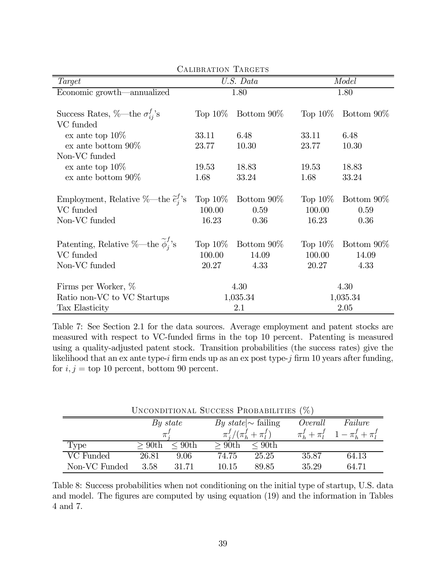| SAMDRAIRON IARGEIS                                               |            |             |            |                          |  |  |  |
|------------------------------------------------------------------|------------|-------------|------------|--------------------------|--|--|--|
| Target                                                           |            | U.S. Data   |            | Model                    |  |  |  |
| Economic growth—annualized                                       |            | 1.80        | 1.80       |                          |  |  |  |
|                                                                  |            |             |            |                          |  |  |  |
| Success Rates, $\%$ —the $\sigma_{ii}^f$ 's                      | Top $10\%$ | Bottom 90\% | Top $10\%$ | Bottom 90\%              |  |  |  |
| VC funded                                                        |            |             |            |                          |  |  |  |
| ex ante top $10\%$                                               | 33.11      | 6.48        | 33.11      | 6.48                     |  |  |  |
| $ex$ ante bottom $90\%$                                          | 23.77      | 10.30       | 23.77      | 10.30                    |  |  |  |
| Non-VC funded                                                    |            |             |            |                          |  |  |  |
| ex ante top $10\%$                                               | 19.53      | 18.83       | 19.53      | 18.83                    |  |  |  |
| ex ante bottom $90\%$                                            | 1.68       | 33.24       | 1.68       | 33.24                    |  |  |  |
|                                                                  |            |             |            |                          |  |  |  |
| Employment, Relative %—the $\tilde{e}_i^f$ 's                    | Top $10\%$ | Bottom 90\% | Top $10\%$ | Bottom 90\%              |  |  |  |
| VC funded                                                        | 100.00     | 0.59        | 100.00     | 0.59                     |  |  |  |
| Non-VC funded                                                    | 16.23      | 0.36        | 16.23      | 0.36                     |  |  |  |
|                                                                  |            |             |            |                          |  |  |  |
| Patenting, Relative %—the $\widetilde{\boldsymbol{\phi}}_i^f$ 's | Top $10\%$ | Bottom 90\% |            | Top $10\%$ Bottom $90\%$ |  |  |  |
| VC funded                                                        | 100.00     | 14.09       | 100.00     | 14.09                    |  |  |  |
| Non-VC funded                                                    | 20.27      | 4.33        | 20.27      | 4.33                     |  |  |  |
| Firms per Worker, %                                              |            | 4.30        |            | 4.30                     |  |  |  |
| Ratio non-VC to VC Startups                                      |            | 1,035.34    |            | 1,035.34                 |  |  |  |
| Tax Elasticity                                                   |            | 2.1         | 2.05       |                          |  |  |  |

CALIBRATION TARGETS

Table 7: See Section 2.1 for the data sources. Average employment and patent stocks are measured with respect to VC-funded firms in the top 10 percent. Patenting is measured using a quality-adjusted patent stock. Transition probabilities (the success rates) give the likelihood that an ex ante type- $i$  firm ends up as an ex post type- $j$  firm 10 years after funding, for  $i, j =$  top 10 percent, bottom 90 percent.

| UNCONDITIONAL SUCCESS PROBABILITIES (%) |          |              |          |                                |         |                                                 |  |  |
|-----------------------------------------|----------|--------------|----------|--------------------------------|---------|-------------------------------------------------|--|--|
|                                         |          | By state     |          | <i>By state</i> $\sim$ failing | Overall | Failure                                         |  |  |
|                                         | $\pi$ :  |              |          | $\pi_i^f/(\pi_h^f+\pi_l^f)$    |         | $\pi_h^f + \pi_l^f \quad 1 - \pi_h^f + \pi_l^f$ |  |  |
| Type                                    | $>90$ th | $\rm < 90th$ | $>90$ th | $\rm < 90th$                   |         |                                                 |  |  |
| VC Funded                               | 26.81    | 9.06         | 74.75    | 25.25                          | 35.87   | 64.13                                           |  |  |
| Non-VC Funded                           | 3.58     | 31.71        | 10.15    | 89.85                          | 35.29   | 64.71                                           |  |  |

Unconditional Success Probabilities (%)

Table 8: Success probabilities when not conditioning on the initial type of startup, U.S. data and model. The figures are computed by using equation (19) and the information in Tables 4 and 7.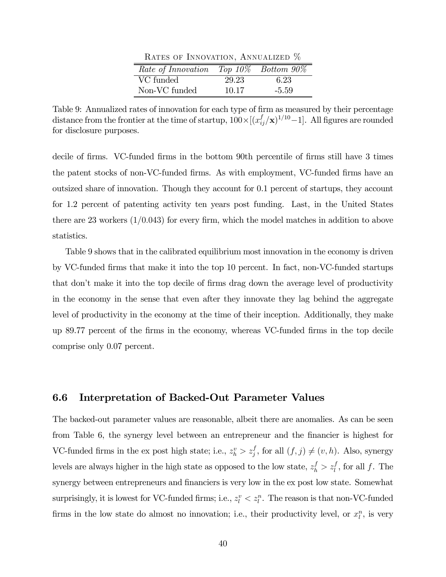| RATES OF INNOVATION, ANNUALIZED %           |       |         |  |  |  |  |  |  |
|---------------------------------------------|-------|---------|--|--|--|--|--|--|
| Rate of Innovation Top $10\%$ Bottom $90\%$ |       |         |  |  |  |  |  |  |
| VC funded                                   | 29.23 | 6.23    |  |  |  |  |  |  |
| Non-VC funded                               | 10.17 | $-5.59$ |  |  |  |  |  |  |

 $\overline{a}$ 

Table 9: Annualized rates of innovation for each type of firm as measured by their percentage distance from the frontier at the time of startup,  $100 \times [(x_{ij}^f/\mathbf{x})^{1/10}-1]$ . All figures are rounded for disclosure purposes.

decile of firms. VC-funded firms in the bottom 90th percentile of firms still have 3 times the patent stocks of non-VC-funded firms. As with employment, VC-funded firms have an outsized share of innovation. Though they account for 0.1 percent of startups, they account for 1.2 percent of patenting activity ten years post funding. Last, in the United States there are 23 workers  $(1/0.043)$  for every firm, which the model matches in addition to above statistics.

Table 9 shows that in the calibrated equilibrium most innovation in the economy is driven by VC-funded firms that make it into the top 10 percent. In fact, non-VC-funded startups that don't make it into the top decile of firms drag down the average level of productivity in the economy in the sense that even after they innovate they lag behind the aggregate level of productivity in the economy at the time of their inception. Additionally, they make up 89.77 percent of the firms in the economy, whereas VC-funded firms in the top decile comprise only 0.07 percent.

### 6.6 Interpretation of Backed-Out Parameter Values

The backed-out parameter values are reasonable, albeit there are anomalies. As can be seen from Table 6, the synergy level between an entrepreneur and the financier is highest for VC-funded firms in the ex post high state; i.e.,  $z_h^v > z_j^f$ , for all  $(f, j) \neq (v, h)$ . Also, synergy levels are always higher in the high state as opposed to the low state,  $z_h^f > z_l^f$ , for all f. The synergy between entrepreneurs and financiers is very low in the ex post low state. Somewhat surprisingly, it is lowest for VC-funded firms; i.e.,  $z_l^v < z_l^n$ . The reason is that non-VC-funded firms in the low state do almost no innovation; i.e., their productivity level, or  $x_l^n$ , is very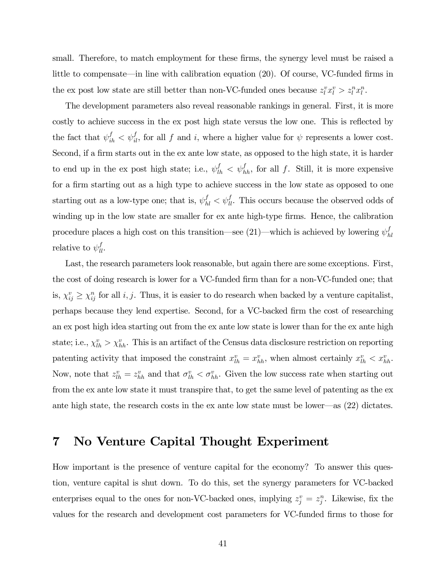small. Therefore, to match employment for these firms, the synergy level must be raised a little to compensate–in line with calibration equation (20). Of course, VC-funded firms in the ex post low state are still better than non-VC-funded ones because  $z_l^v x_l^v > z_l^x x_l^n$ .

The development parameters also reveal reasonable rankings in general. First, it is more costly to achieve success in the ex post high state versus the low one. This is reflected by the fact that  $\psi_{ih}^f < \psi_{il}^f$ , for all f and i, where a higher value for  $\psi$  represents a lower cost. Second, if a firm starts out in the ex ante low state, as opposed to the high state, it is harder to end up in the ex post high state; i.e.,  $\psi_{lh}^f < \psi_{hh}^f$ , for all f. Still, it is more expensive for a firm starting out as a high type to achieve success in the low state as opposed to one starting out as a low-type one; that is,  $\psi_{hl}^f < \psi_{ll}^f$ . This occurs because the observed odds of winding up in the low state are smaller for ex ante high-type firms. Hence, the calibration procedure places a high cost on this transition—see (21)—which is achieved by lowering  $\psi_{hl}^f$ relative to  $\psi_{ll}^f$ .

Last, the research parameters look reasonable, but again there are some exceptions. First, the cost of doing research is lower for a VC-funded firm than for a non-VC-funded one; that is,  $\chi_{ij}^v \geq \chi_{ij}^n$  for all *i*, *j*. Thus, it is easier to do research when backed by a venture capitalist, perhaps because they lend expertise. Second, for a VC-backed firm the cost of researching an ex post high idea starting out from the ex ante low state is lower than for the ex ante high state; i.e.,  $\chi_{lh}^v > \chi_{hh}^v$ . This is an artifact of the Census data disclosure restriction on reporting patenting activity that imposed the constraint  $x_{lh}^v = x_{hh}^v$ , when almost certainly  $x_{lh}^v < x_{hh}^v$ . Now, note that  $z_{lh}^v = z_{hh}^v$  and that  $\sigma_{lh}^v < \sigma_{hh}^v$ . Given the low success rate when starting out from the ex ante low state it must transpire that, to get the same level of patenting as the ex ante high state, the research costs in the ex ante low state must be lower–as (22) dictates.

# 7 No Venture Capital Thought Experiment

How important is the presence of venture capital for the economy? To answer this question, venture capital is shut down. To do this, set the synergy parameters for VC-backed enterprises equal to the ones for non-VC-backed ones, implying  $z_j^v = z_j^n$ . Likewise, fix the values for the research and development cost parameters for VC-funded firms to those for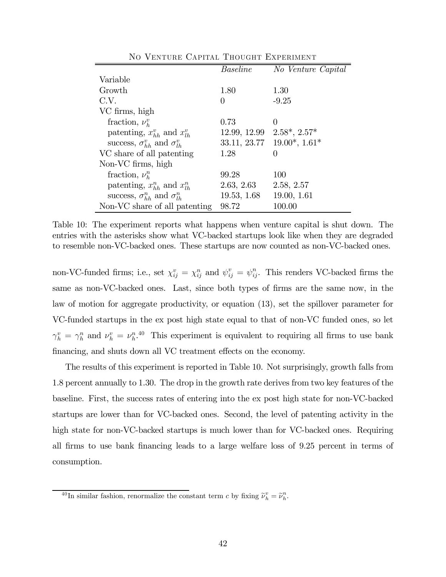|                                              | <b>Baseline</b> | No Venture Capital   |
|----------------------------------------------|-----------------|----------------------|
| Variable                                     |                 |                      |
| Growth                                       | 1.80            | 1.30                 |
| C.V.                                         | $\theta$        | $-9.25$              |
| VC firms, high                               |                 |                      |
| fraction, $\nu_k^v$                          | 0.73            | $\Omega$             |
| patenting, $x_{hh}^v$ and $x_{lh}^v$         | 12.99, 12.99    | $2.58^*$ , $2.57^*$  |
| success, $\sigma_{hh}^v$ and $\sigma_{lh}^v$ | 33.11, 23.77    | $19.00^*$ , $1.61^*$ |
| VC share of all patenting                    | 1.28            | $\Omega$             |
| Non-VC firms, high                           |                 |                      |
| fraction, $\nu_h^n$                          | 99.28           | 100                  |
| patenting, $x_{hh}^n$ and $x_{lh}^n$         | 2.63, 2.63      | 2.58, 2.57           |
| success, $\sigma_{hh}^n$ and $\sigma_{lh}^n$ | 19.53, 1.68     | 19.00, 1.61          |
| Non-VC share of all patenting                | 98.72           | 100.00               |

No Venture Capital Thought Experiment

Table 10: The experiment reports what happens when venture capital is shut down. The entries with the asterisks show what VC-backed startups look like when they are degraded to resemble non-VC-backed ones. These startups are now counted as non-VC-backed ones.

non-VC-funded firms; i.e., set  $\chi_{ij}^v = \chi_{ij}^n$  and  $\psi_{ij}^v = \psi_{ij}^n$ . This renders VC-backed firms the same as non-VC-backed ones. Last, since both types of firms are the same now, in the law of motion for aggregate productivity, or equation (13), set the spillover parameter for VC-funded startups in the ex post high state equal to that of non-VC funded ones, so let  $\gamma_h^v = \gamma_h^n$  and  $\nu_h^v = \nu_h^{n.40}$  This experiment is equivalent to requiring all firms to use bank financing, and shuts down all VC treatment effects on the economy.

The results of this experiment is reported in Table 10. Not surprisingly, growth falls from 1.8 percent annually to 1.30. The drop in the growth rate derives from two key features of the baseline. First, the success rates of entering into the ex post high state for non-VC-backed startups are lower than for VC-backed ones. Second, the level of patenting activity in the high state for non-VC-backed startups is much lower than for VC-backed ones. Requiring all firms to use bank financing leads to a large welfare loss of 9.25 percent in terms of consumption.

<sup>&</sup>lt;sup>40</sup>In similar fashion, renormalize the constant term *c* by fixing  $\tilde{\nu}_h^v = \tilde{\nu}_h^v$ .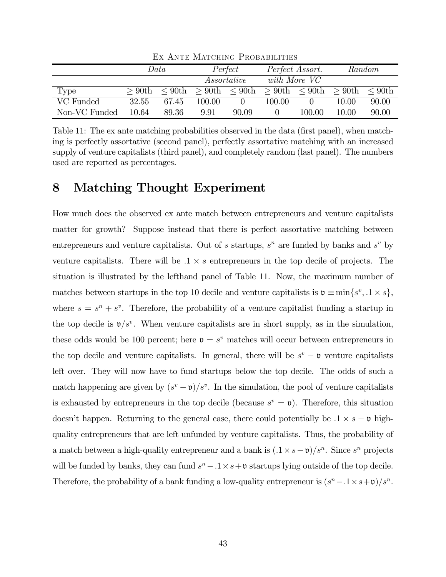|               | Data     |              |          | Perfect      |          | Perfect Assort. |          | Random                 |
|---------------|----------|--------------|----------|--------------|----------|-----------------|----------|------------------------|
|               |          |              |          | Assortative  |          | with More VC    |          |                        |
| Type          | $>90$ th | $\leq 90$ th | $>90$ th | $\rm < 90th$ | $>90$ th | $\rm < 90th$    | $>90$ th | $\rm 100$ s of $\rm h$ |
| VC Funded     | 32.55    | 67.45        | 100.00   |              | 100.00   |                 | 10.00    | 90.00                  |
| Non-VC Funded | 10.64    | 89.36        | 9.91     | 90.09        |          | 100.00          | 10.00    | 90.00                  |

Ex Ante Matching Probabilities

Table 11: The ex ante matching probabilities observed in the data (first panel), when matching is perfectly assortative (second panel), perfectly assortative matching with an increased supply of venture capitalists (third panel), and completely random (last panel). The numbers used are reported as percentages.

# 8 Matching Thought Experiment

How much does the observed ex ante match between entrepreneurs and venture capitalists matter for growth? Suppose instead that there is perfect assortative matching between entrepreneurs and venture capitalists. Out of  $s$  startups,  $s^n$  are funded by banks and  $s^v$  by venture capitalists. There will be  $.1 \times s$  entrepreneurs in the top decile of projects. The situation is illustrated by the lefthand panel of Table 11. Now, the maximum number of matches between startups in the top 10 decile and venture capitalists is  $v \equiv \min\{s^v, 1 \times s\}$ , where  $s = s^n + s^v$ . Therefore, the probability of a venture capitalist funding a startup in the top decile is  $\mathfrak{v}/s^v$ . When venture capitalists are in short supply, as in the simulation, these odds would be 100 percent; here  $v = s^v$  matches will occur between entrepreneurs in the top decile and venture capitalists. In general, there will be  $s^v - \mathfrak{v}$  venture capitalists left over. They will now have to fund startups below the top decile. The odds of such a match happening are given by  $(s^v - \mathfrak{v})/s^v$ . In the simulation, the pool of venture capitalists is exhausted by entrepreneurs in the top decile (because  $s^v = \mathfrak{v}$ ). Therefore, this situation doesn't happen. Returning to the general case, there could potentially be  $.1 \times s - \mathfrak{v}$  highquality entrepreneurs that are left unfunded by venture capitalists. Thus, the probability of a match between a high-quality entrepreneur and a bank is  $(1 \times s - \mathfrak{v})/s^n$ . Since  $s^n$  projects will be funded by banks, they can fund  $s<sup>n</sup> - 0.1 \times s + v$  startups lying outside of the top decile. Therefore, the probability of a bank funding a low-quality entrepreneur is  $(s^n - 1 \times s + \mathfrak{v})/s^n$ .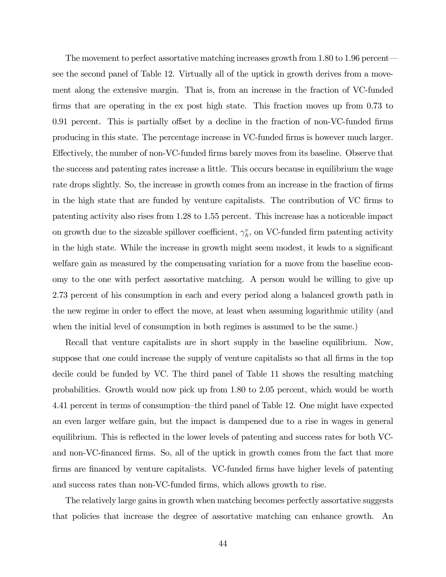The movement to perfect assortative matching increases growth from 1.80 to 1.96 percent– see the second panel of Table 12. Virtually all of the uptick in growth derives from a movement along the extensive margin. That is, from an increase in the fraction of VC-funded firms that are operating in the ex post high state. This fraction moves up from 0.73 to 0.91 percent. This is partially offset by a decline in the fraction of non-VC-funded firms producing in this state. The percentage increase in VC-funded firms is however much larger. Effectively, the number of non-VC-funded firms barely moves from its baseline. Observe that the success and patenting rates increase a little. This occurs because in equilibrium the wage rate drops slightly. So, the increase in growth comes from an increase in the fraction of firms in the high state that are funded by venture capitalists. The contribution of VC firms to patenting activity also rises from 1.28 to 1.55 percent. This increase has a noticeable impact on growth due to the sizeable spillover coefficient,  $\gamma_h^v$ , on VC-funded firm patenting activity in the high state. While the increase in growth might seem modest, it leads to a significant welfare gain as measured by the compensating variation for a move from the baseline economy to the one with perfect assortative matching. A person would be willing to give up 2.73 percent of his consumption in each and every period along a balanced growth path in the new regime in order to effect the move, at least when assuming logarithmic utility (and when the initial level of consumption in both regimes is assumed to be the same.)

Recall that venture capitalists are in short supply in the baseline equilibrium. Now, suppose that one could increase the supply of venture capitalists so that all firms in the top decile could be funded by VC. The third panel of Table 11 shows the resulting matching probabilities. Growth would now pick up from 1.80 to 2.05 percent, which would be worth 4.41 percent in terms of consumption—the third panel of Table 12. One might have expected an even larger welfare gain, but the impact is dampened due to a rise in wages in general equilibrium. This is reflected in the lower levels of patenting and success rates for both VCand non-VC-financed firms. So, all of the uptick in growth comes from the fact that more firms are financed by venture capitalists. VC-funded firms have higher levels of patenting and success rates than non-VC-funded firms, which allows growth to rise.

The relatively large gains in growth when matching becomes perfectly assortative suggests that policies that increase the degree of assortative matching can enhance growth. An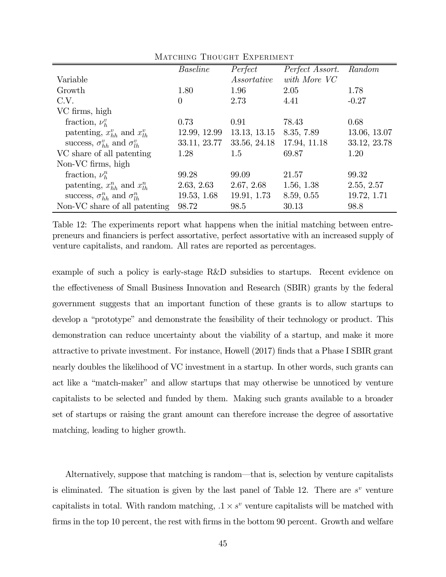|                                              | <b>Baseline</b> | Perfect      | Perfect Assort. | Random       |
|----------------------------------------------|-----------------|--------------|-----------------|--------------|
| Variable                                     |                 | Assortative  | with More VC    |              |
| Growth                                       | 1.80            | 1.96         | 2.05            | 1.78         |
| C.V.                                         | $\overline{0}$  | 2.73         | 4.41            | $-0.27$      |
| VC firms, high                               |                 |              |                 |              |
| fraction, $\nu_h^v$                          | 0.73            | 0.91         | 78.43           | 0.68         |
| patenting, $x_{hh}^v$ and $x_{lh}^v$         | 12.99, 12.99    | 13.13, 13.15 | 8.35, 7.89      | 13.06, 13.07 |
| success, $\sigma_{hh}^v$ and $\sigma_{lh}^v$ | 33.11, 23.77    | 33.56, 24.18 | 17.94, 11.18    | 33.12, 23.78 |
| VC share of all patenting                    | 1.28            | 1.5          | 69.87           | 1.20         |
| Non-VC firms, high                           |                 |              |                 |              |
| fraction, $\nu_h^n$                          | 99.28           | 99.09        | 21.57           | 99.32        |
| patenting, $x_{hh}^n$ and $x_{lh}^n$         | 2.63, 2.63      | 2.67, 2.68   | 1.56, 1.38      | 2.55, 2.57   |
| success, $\sigma_{hh}^n$ and $\sigma_{lh}^n$ | 19.53, 1.68     | 19.91, 1.73  | 8.59, 0.55      | 19.72, 1.71  |
| Non-VC share of all patenting                | 98.72           | 98.5         | 30.13           | 98.8         |

MATCHING THOUGHT EXPERIMENT

Table 12: The experiments report what happens when the initial matching between entrepreneurs and financiers is perfect assortative, perfect assortative with an increased supply of venture capitalists, and random. All rates are reported as percentages.

example of such a policy is early-stage R&D subsidies to startups. Recent evidence on the effectiveness of Small Business Innovation and Research (SBIR) grants by the federal government suggests that an important function of these grants is to allow startups to develop a "prototype" and demonstrate the feasibility of their technology or product. This demonstration can reduce uncertainty about the viability of a startup, and make it more attractive to private investment. For instance, Howell (2017) finds that a Phase I SBIR grant nearly doubles the likelihood of VC investment in a startup. In other words, such grants can act like a "match-maker" and allow startups that may otherwise be unnoticed by venture capitalists to be selected and funded by them. Making such grants available to a broader set of startups or raising the grant amount can therefore increase the degree of assortative matching, leading to higher growth.

Alternatively, suppose that matching is random–that is, selection by venture capitalists is eliminated. The situation is given by the last panel of Table 12. There are  $s^v$  venture capitalists in total. With random matching,  $1 \times s^v$  venture capitalists will be matched with firms in the top 10 percent, the rest with firms in the bottom 90 percent. Growth and welfare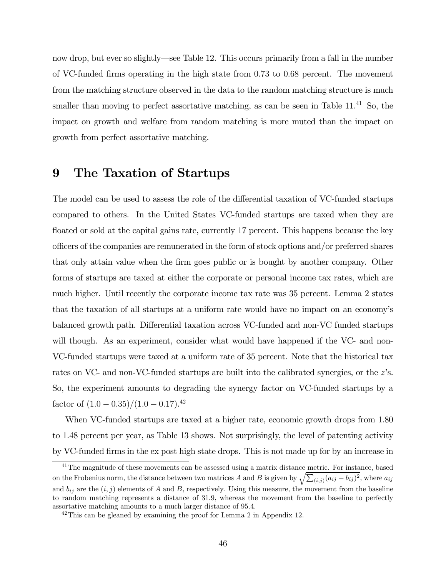now drop, but ever so slightly–see Table 12. This occurs primarily from a fall in the number of VC-funded firms operating in the high state from 0.73 to 0.68 percent. The movement from the matching structure observed in the data to the random matching structure is much smaller than moving to perfect assortative matching, as can be seen in Table  $11^{41}$  So, the impact on growth and welfare from random matching is more muted than the impact on growth from perfect assortative matching.

## 9 The Taxation of Startups

The model can be used to assess the role of the differential taxation of VC-funded startups compared to others. In the United States VC-funded startups are taxed when they are floated or sold at the capital gains rate, currently 17 percent. This happens because the key officers of the companies are remunerated in the form of stock options and/or preferred shares that only attain value when the firm goes public or is bought by another company. Other forms of startups are taxed at either the corporate or personal income tax rates, which are much higher. Until recently the corporate income tax rate was 35 percent. Lemma 2 states that the taxation of all startups at a uniform rate would have no impact on an economy's balanced growth path. Differential taxation across VC-funded and non-VC funded startups will though. As an experiment, consider what would have happened if the VC- and non-VC-funded startups were taxed at a uniform rate of 35 percent. Note that the historical tax rates on VC- and non-VC-funded startups are built into the calibrated synergies, or the  $z$ 's. So, the experiment amounts to degrading the synergy factor on VC-funded startups by a factor of  $(1.0 - 0.35)/(1.0 - 0.17).^{42}$ 

When VC-funded startups are taxed at a higher rate, economic growth drops from 1.80 to 1.48 percent per year, as Table 13 shows. Not surprisingly, the level of patenting activity by VC-funded firms in the ex post high state drops. This is not made up for by an increase in

<sup>&</sup>lt;sup>41</sup>The magnitude of these movements can be assessed using a matrix distance metric. For instance, based on the Frobenius norm, the distance between two matrices A and B is given by  $\sqrt{\sum_{(i,j)} (a_{ij} - b_{ij})^2}$ , where  $a_{ij}$ and  $b_{ij}$  are the  $(i, j)$  elements of A and B, respectively. Using this measure, the movement from the baseline to random matching represents a distance of 319 whereas the movement from the baseline to perfectly assortative matching amounts to a much larger distance of 95.4.

<sup>&</sup>lt;sup>42</sup>This can be gleaned by examining the proof for Lemma 2 in Appendix 12.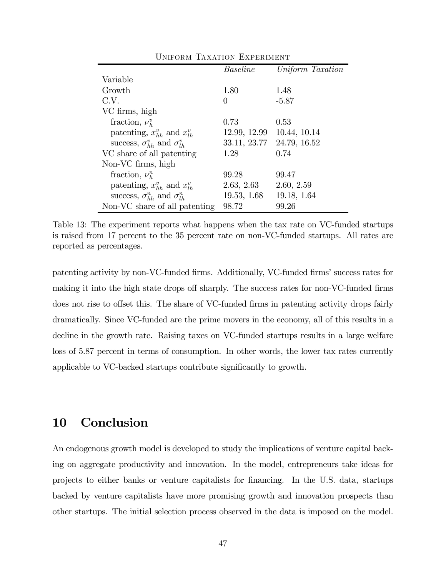| UNIFORM TAXATION EXPERIMENT                      |                 |                  |  |
|--------------------------------------------------|-----------------|------------------|--|
|                                                  | <b>Baseline</b> | Uniform Taxation |  |
| Variable                                         |                 |                  |  |
| Growth                                           | 1.80            | 1.48             |  |
| C.V.                                             | $\theta$        | $-5.87$          |  |
| VC firms, high                                   |                 |                  |  |
| fraction, $\nu_h^v$                              | 0.73            | 0.53             |  |
| patenting, $x_{hh}^v$ and $x_{lh}^v$             | 12.99, 12.99    | 10.44, 10.14     |  |
| success, $\sigma_{hh}^{v}$ and $\sigma_{lh}^{v}$ | 33.11, 23.77    | 24.79, 16.52     |  |
| VC share of all patenting                        | 1.28            | 0.74             |  |
| Non-VC firms, high                               |                 |                  |  |
| fraction, $\nu_h^n$                              | 99.28           | 99.47            |  |
| patenting, $x_{hh}^v$ and $x_{lh}^v$             | 2.63, 2.63      | 2.60, 2.59       |  |
| success, $\sigma_{hh}^n$ and $\sigma_{lh}^n$     | 19.53, 1.68     | 19.18, 1.64      |  |
| Non-VC share of all patenting                    | 98.72           | 99.26            |  |

 $U_1$   $\cdots$   $\cdots$   $\cdots$   $\cdots$   $\cdots$   $\cdots$   $\cdots$   $\cdots$ 

Table 13: The experiment reports what happens when the tax rate on VC-funded startups is raised from 17 percent to the 35 percent rate on non-VC-funded startups. All rates are reported as percentages.

patenting activity by non-VC-funded firms. Additionally, VC-funded firms' success rates for making it into the high state drops off sharply. The success rates for non-VC-funded firms does not rise to offset this. The share of VC-funded firms in patenting activity drops fairly dramatically. Since VC-funded are the prime movers in the economy, all of this results in a decline in the growth rate. Raising taxes on VC-funded startups results in a large welfare loss of 5.87 percent in terms of consumption. In other words, the lower tax rates currently applicable to VC-backed startups contribute significantly to growth.

# 10 Conclusion

An endogenous growth model is developed to study the implications of venture capital backing on aggregate productivity and innovation. In the model, entrepreneurs take ideas for projects to either banks or venture capitalists for financing. In the U.S. data, startups backed by venture capitalists have more promising growth and innovation prospects than other startups. The initial selection process observed in the data is imposed on the model.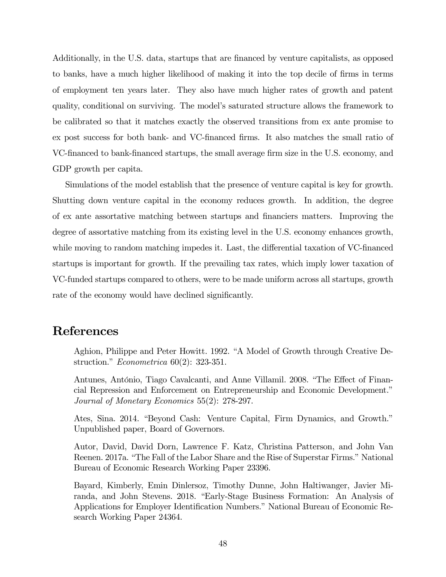Additionally, in the U.S. data, startups that are financed by venture capitalists, as opposed to banks, have a much higher likelihood of making it into the top decile of firms in terms of employment ten years later. They also have much higher rates of growth and patent quality, conditional on surviving. The model's saturated structure allows the framework to be calibrated so that it matches exactly the observed transitions from ex ante promise to ex post success for both bank- and VC-financed firms. It also matches the small ratio of VC-financed to bank-financed startups, the small average firm size in the U.S. economy, and GDP growth per capita.

Simulations of the model establish that the presence of venture capital is key for growth. Shutting down venture capital in the economy reduces growth. In addition, the degree of ex ante assortative matching between startups and financiers matters. Improving the degree of assortative matching from its existing level in the U.S. economy enhances growth, while moving to random matching impedes it. Last, the differential taxation of VC-financed startups is important for growth. If the prevailing tax rates, which imply lower taxation of VC-funded startups compared to others, were to be made uniform across all startups, growth rate of the economy would have declined significantly.

## References

Aghion, Philippe and Peter Howitt. 1992. "A Model of Growth through Creative Destruction." Econometrica 60(2): 323-351.

Antunes, António, Tiago Cavalcanti, and Anne Villamil. 2008. "The Effect of Financial Repression and Enforcement on Entrepreneurship and Economic Development." Journal of Monetary Economics 55(2): 278-297.

Ates, Sina. 2014. "Beyond Cash: Venture Capital, Firm Dynamics, and Growth." Unpublished paper, Board of Governors.

Autor, David, David Dorn, Lawrence F. Katz, Christina Patterson, and John Van Reenen. 2017a. "The Fall of the Labor Share and the Rise of Superstar Firms." National Bureau of Economic Research Working Paper 23396.

Bayard, Kimberly, Emin Dinlersoz, Timothy Dunne, John Haltiwanger, Javier Miranda, and John Stevens. 2018. "Early-Stage Business Formation: An Analysis of Applications for Employer Identification Numbers." National Bureau of Economic Research Working Paper 24364.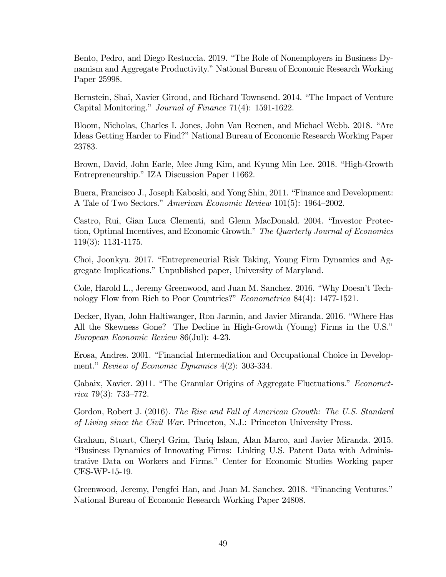Bento, Pedro, and Diego Restuccia. 2019. "The Role of Nonemployers in Business Dynamism and Aggregate Productivity." National Bureau of Economic Research Working Paper 25998.

Bernstein, Shai, Xavier Giroud, and Richard Townsend. 2014. "The Impact of Venture Capital Monitoring." Journal of Finance 71(4): 1591-1622.

Bloom, Nicholas, Charles I. Jones, John Van Reenen, and Michael Webb. 2018. "Are Ideas Getting Harder to Find?" National Bureau of Economic Research Working Paper 23783.

Brown, David, John Earle, Mee Jung Kim, and Kyung Min Lee. 2018. "High-Growth Entrepreneurship." IZA Discussion Paper 11662.

Buera, Francisco J., Joseph Kaboski, and Yong Shin, 2011. "Finance and Development: A Tale of Two Sectors." American Economic Review 101(5): 1964—2002.

Castro, Rui, Gian Luca Clementi, and Glenn MacDonald. 2004. "Investor Protection, Optimal Incentives, and Economic Growth." The Quarterly Journal of Economics 119(3): 1131-1175.

Choi, Joonkyu. 2017. "Entrepreneurial Risk Taking, Young Firm Dynamics and Aggregate Implications." Unpublished paper, University of Maryland.

Cole, Harold L., Jeremy Greenwood, and Juan M. Sanchez. 2016. "Why Doesn't Technology Flow from Rich to Poor Countries?" Econometrica 84(4): 1477-1521.

Decker, Ryan, John Haltiwanger, Ron Jarmin, and Javier Miranda. 2016. "Where Has All the Skewness Gone? The Decline in High-Growth (Young) Firms in the U.S." European Economic Review 86(Jul): 4-23.

Erosa, Andres. 2001. "Financial Intermediation and Occupational Choice in Development." Review of Economic Dynamics 4(2): 303-334.

Gabaix, Xavier. 2011. "The Granular Origins of Aggregate Fluctuations." *Economet* $rica 79(3): 733-772.$ 

Gordon, Robert J. (2016). The Rise and Fall of American Growth: The U.S. Standard of Living since the Civil War. Princeton, N.J.: Princeton University Press.

Graham, Stuart, Cheryl Grim, Tariq Islam, Alan Marco, and Javier Miranda. 2015. "Business Dynamics of Innovating Firms: Linking U.S. Patent Data with Administrative Data on Workers and Firms." Center for Economic Studies Working paper CES-WP-15-19.

Greenwood, Jeremy, Pengfei Han, and Juan M. Sanchez. 2018. "Financing Ventures." National Bureau of Economic Research Working Paper 24808.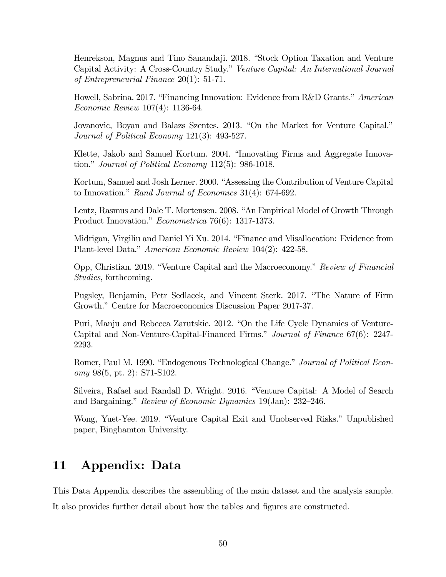Henrekson, Magnus and Tino Sanandaji. 2018. "Stock Option Taxation and Venture Capital Activity: A Cross-Country Study." Venture Capital: An International Journal of Entrepreneurial Finance 20(1): 51-71.

Howell, Sabrina. 2017. "Financing Innovation: Evidence from R&D Grants." American Economic Review 107(4): 1136-64.

Jovanovic, Boyan and Balazs Szentes. 2013. "On the Market for Venture Capital." Journal of Political Economy 121(3): 493-527.

Klette, Jakob and Samuel Kortum. 2004. "Innovating Firms and Aggregate Innovation." Journal of Political Economy 112(5): 986-1018.

Kortum, Samuel and Josh Lerner. 2000. "Assessing the Contribution of Venture Capital to Innovation." Rand Journal of Economics 31(4): 674-692.

Lentz, Rasmus and Dale T. Mortensen. 2008. "An Empirical Model of Growth Through Product Innovation." Econometrica 76(6): 1317-1373.

Midrigan, Virgiliu and Daniel Yi Xu. 2014. "Finance and Misallocation: Evidence from Plant-level Data." American Economic Review 104(2): 422-58.

Opp, Christian. 2019. "Venture Capital and the Macroeconomy." Review of Financial Studies, forthcoming.

Pugsley, Benjamin, Petr Sedlacek, and Vincent Sterk. 2017. "The Nature of Firm Growth." Centre for Macroeconomics Discussion Paper 2017-37.

Puri, Manju and Rebecca Zarutskie. 2012. "On the Life Cycle Dynamics of Venture-Capital and Non-Venture-Capital-Financed Firms." Journal of Finance 67(6): 2247- 2293.

Romer, Paul M. 1990. "Endogenous Technological Change." Journal of Political Economy 98(5, pt. 2): S71-S102.

Silveira, Rafael and Randall D. Wright. 2016. "Venture Capital: A Model of Search and Bargaining." Review of Economic Dynamics 19(Jan): 232—246.

Wong, Yuet-Yee. 2019. "Venture Capital Exit and Unobserved Risks." Unpublished paper, Binghamton University.

# 11 Appendix: Data

This Data Appendix describes the assembling of the main dataset and the analysis sample. It also provides further detail about how the tables and figures are constructed.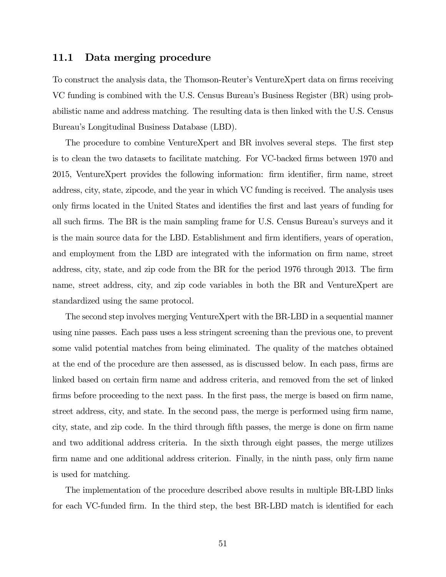### 11.1 Data merging procedure

To construct the analysis data, the Thomson-Reuter's VentureXpert data on firms receiving VC funding is combined with the U.S. Census Bureau's Business Register (BR) using probabilistic name and address matching. The resulting data is then linked with the U.S. Census Bureau's Longitudinal Business Database (LBD).

The procedure to combine VentureXpert and BR involves several steps. The first step is to clean the two datasets to facilitate matching. For VC-backed firms between 1970 and 2015, VentureXpert provides the following information: firm identifier, firm name, street address, city, state, zipcode, and the year in which VC funding is received. The analysis uses only firms located in the United States and identifies the first and last years of funding for all such firms. The BR is the main sampling frame for U.S. Census Bureau's surveys and it is the main source data for the LBD. Establishment and firm identifiers, years of operation, and employment from the LBD are integrated with the information on firm name, street address, city, state, and zip code from the BR for the period 1976 through 2013. The firm name, street address, city, and zip code variables in both the BR and VentureXpert are standardized using the same protocol.

The second step involves merging VentureXpert with the BR-LBD in a sequential manner using nine passes. Each pass uses a less stringent screening than the previous one, to prevent some valid potential matches from being eliminated. The quality of the matches obtained at the end of the procedure are then assessed, as is discussed below. In each pass, firms are linked based on certain firm name and address criteria, and removed from the set of linked firms before proceeding to the next pass. In the first pass, the merge is based on firm name, street address, city, and state. In the second pass, the merge is performed using firm name, city, state, and zip code. In the third through fifth passes, the merge is done on firm name and two additional address criteria. In the sixth through eight passes, the merge utilizes firm name and one additional address criterion. Finally, in the ninth pass, only firm name is used for matching.

The implementation of the procedure described above results in multiple BR-LBD links for each VC-funded firm. In the third step, the best BR-LBD match is identified for each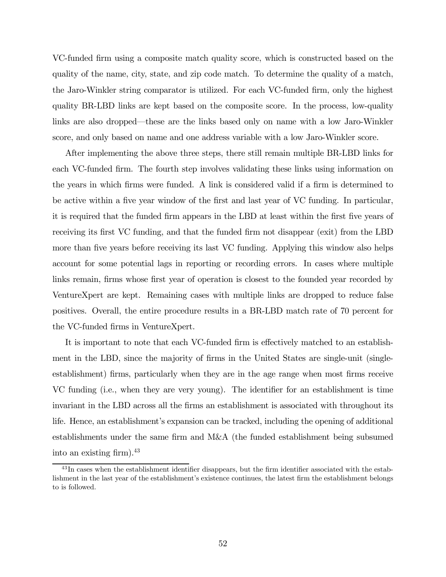VC-funded firm using a composite match quality score, which is constructed based on the quality of the name, city, state, and zip code match. To determine the quality of a match, the Jaro-Winkler string comparator is utilized. For each VC-funded firm, only the highest quality BR-LBD links are kept based on the composite score. In the process, low-quality links are also dropped–these are the links based only on name with a low Jaro-Winkler score, and only based on name and one address variable with a low Jaro-Winkler score.

After implementing the above three steps, there still remain multiple BR-LBD links for each VC-funded firm. The fourth step involves validating these links using information on the years in which firms were funded. A link is considered valid if a firm is determined to be active within a five year window of the first and last year of VC funding. In particular, it is required that the funded firm appears in the LBD at least within the first five years of receiving its first VC funding, and that the funded firm not disappear (exit) from the LBD more than five years before receiving its last VC funding. Applying this window also helps account for some potential lags in reporting or recording errors. In cases where multiple links remain, firms whose first year of operation is closest to the founded year recorded by VentureXpert are kept. Remaining cases with multiple links are dropped to reduce false positives. Overall, the entire procedure results in a BR-LBD match rate of 70 percent for the VC-funded firms in VentureXpert.

It is important to note that each VC-funded firm is effectively matched to an establishment in the LBD, since the majority of firms in the United States are single-unit (singleestablishment) firms, particularly when they are in the age range when most firms receive VC funding (i.e., when they are very young). The identifier for an establishment is time invariant in the LBD across all the firms an establishment is associated with throughout its life. Hence, an establishment's expansion can be tracked, including the opening of additional establishments under the same firm and M&A (the funded establishment being subsumed into an existing firm).43

 $^{43}$ In cases when the establishment identifier disappears, but the firm identifier associated with the establishment in the last year of the establishment's existence continues, the latest firm the establishment belongs to is followed.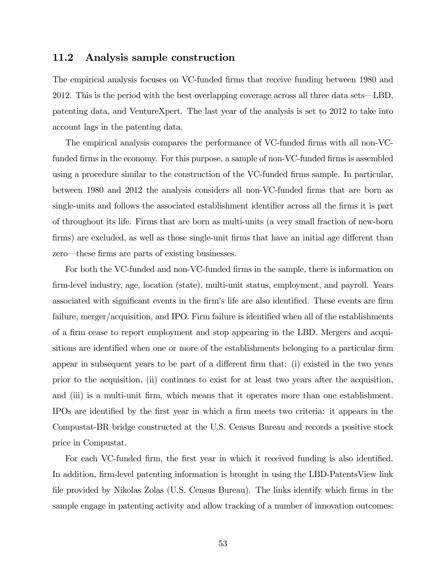### 11.2 Analysis sample construction

The empirical analysis focuses on VC-funded firms that receive funding between 1980 and 2012. This is the period with the best overlapping coverage across all three data sets–LBD, patenting data, and VentureXpert. The last year of the analysis is set to 2012 to take into account lags in the patenting data.

The empirical analysis compares the performance of VC-funded firms with all non-VCfunded firms in the economy. For this purpose, a sample of non-VC-funded firms is assembled using a procedure similar to the construction of the VC-funded firms sample. In particular, between 1980 and 2012 the analysis considers all non-VC-funded firms that are born as single-units and follows the associated establishment identifier across all the firms it is part of throughout its life. Firms that are born as multi-units (a very small fraction of new-born firms) are excluded, as well as those single-unit firms that have an initial age different than zero–these firms are parts of existing businesses.

For both the VC-funded and non-VC-funded firms in the sample, there is information on firm-level industry, age, location (state), multi-unit status, employment, and payroll. Years associated with significant events in the firm's life are also identified. These events are firm failure, merger/acquisition, and IPO. Firm failure is identified when all of the establishments of a firm cease to report employment and stop appearing in the LBD. Mergers and acquisitions are identified when one or more of the establishments belonging to a particular firm appear in subsequent years to be part of a different firm that: (i) existed in the two years prior to the acquisition, (ii) continues to exist for at least two years after the acquisition, and (iii) is a multi-unit firm, which means that it operates more than one establishment. IPOs are identified by the first year in which a firm meets two criteria: it appears in the Compustat-BR bridge constructed at the U.S. Census Bureau and records a positive stock price in Compustat.

For each VC-funded firm, the first year in which it received funding is also identified. In addition, firm-level patenting information is brought in using the LBD-PatentsView link file provided by Nikolas Zolas (U.S. Census Bureau). The links identify which firms in the sample engage in patenting activity and allow tracking of a number of innovation outcomes: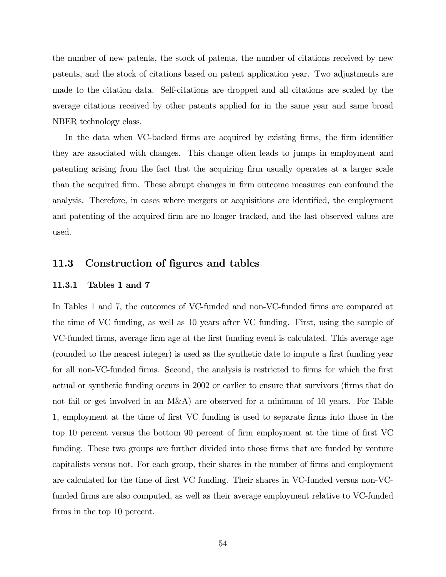the number of new patents, the stock of patents, the number of citations received by new patents, and the stock of citations based on patent application year. Two adjustments are made to the citation data. Self-citations are dropped and all citations are scaled by the average citations received by other patents applied for in the same year and same broad NBER technology class.

In the data when VC-backed firms are acquired by existing firms, the firm identifier they are associated with changes. This change often leads to jumps in employment and patenting arising from the fact that the acquiring firm usually operates at a larger scale than the acquired firm. These abrupt changes in firm outcome measures can confound the analysis. Therefore, in cases where mergers or acquisitions are identified, the employment and patenting of the acquired firm are no longer tracked, and the last observed values are used.

### 11.3 Construction of figures and tables

#### 11.3.1 Tables 1 and 7

In Tables 1 and 7, the outcomes of VC-funded and non-VC-funded firms are compared at the time of VC funding, as well as 10 years after VC funding. First, using the sample of VC-funded firms, average firm age at the first funding event is calculated. This average age (rounded to the nearest integer) is used as the synthetic date to impute a first funding year for all non-VC-funded firms. Second, the analysis is restricted to firms for which the first actual or synthetic funding occurs in 2002 or earlier to ensure that survivors (firms that do not fail or get involved in an M&A) are observed for a minimum of 10 years. For Table 1, employment at the time of first VC funding is used to separate firms into those in the top 10 percent versus the bottom 90 percent of firm employment at the time of first VC funding. These two groups are further divided into those firms that are funded by venture capitalists versus not. For each group, their shares in the number of firms and employment are calculated for the time of first VC funding. Their shares in VC-funded versus non-VCfunded firms are also computed, as well as their average employment relative to VC-funded firms in the top 10 percent.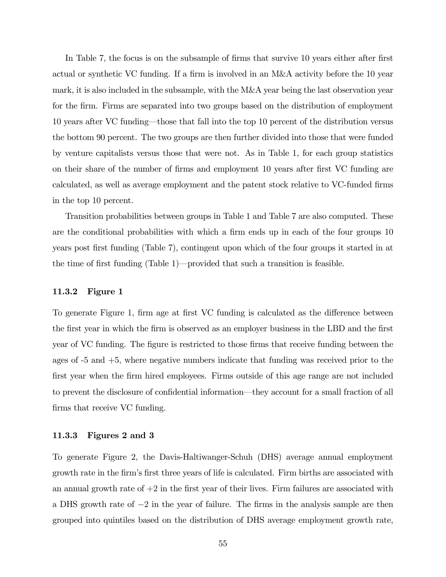In Table 7, the focus is on the subsample of firms that survive 10 years either after first actual or synthetic VC funding. If a firm is involved in an M&A activity before the 10 year mark, it is also included in the subsample, with the M&A year being the last observation year for the firm. Firms are separated into two groups based on the distribution of employment 10 years after VC funding–those that fall into the top 10 percent of the distribution versus the bottom 90 percent. The two groups are then further divided into those that were funded by venture capitalists versus those that were not. As in Table 1, for each group statistics on their share of the number of firms and employment 10 years after first VC funding are calculated, as well as average employment and the patent stock relative to VC-funded firms in the top 10 percent.

Transition probabilities between groups in Table 1 and Table 7 are also computed. These are the conditional probabilities with which a firm ends up in each of the four groups 10 years post first funding (Table 7), contingent upon which of the four groups it started in at the time of first funding (Table 1)–provided that such a transition is feasible.

#### 11.3.2 Figure 1

To generate Figure 1, firm age at first VC funding is calculated as the difference between the first year in which the firm is observed as an employer business in the LBD and the first year of VC funding. The figure is restricted to those firms that receive funding between the ages of -5 and +5, where negative numbers indicate that funding was received prior to the first year when the firm hired employees. Firms outside of this age range are not included to prevent the disclosure of confidential information–they account for a small fraction of all firms that receive VC funding.

#### 11.3.3 Figures 2 and 3

To generate Figure 2, the Davis-Haltiwanger-Schuh (DHS) average annual employment growth rate in the firm's first three years of life is calculated. Firm births are associated with an annual growth rate of  $+2$  in the first year of their lives. Firm failures are associated with a DHS growth rate of −2 in the year of failure. The firms in the analysis sample are then grouped into quintiles based on the distribution of DHS average employment growth rate,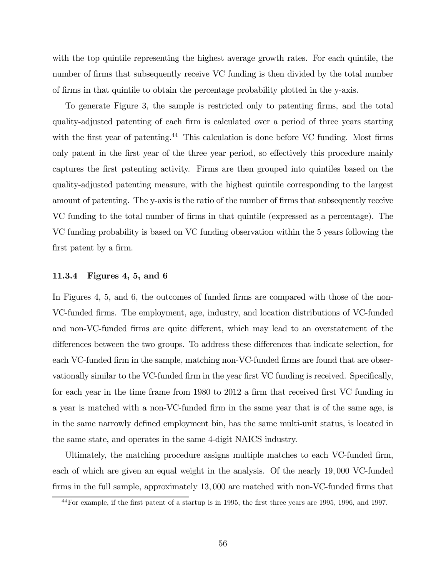with the top quintile representing the highest average growth rates. For each quintile, the number of firms that subsequently receive VC funding is then divided by the total number of firms in that quintile to obtain the percentage probability plotted in the y-axis.

To generate Figure 3, the sample is restricted only to patenting firms, and the total quality-adjusted patenting of each firm is calculated over a period of three years starting with the first year of patenting.<sup>44</sup> This calculation is done before VC funding. Most firms only patent in the first year of the three year period, so effectively this procedure mainly captures the first patenting activity. Firms are then grouped into quintiles based on the quality-adjusted patenting measure, with the highest quintile corresponding to the largest amount of patenting. The y-axis is the ratio of the number of firms that subsequently receive VC funding to the total number of firms in that quintile (expressed as a percentage). The VC funding probability is based on VC funding observation within the 5 years following the first patent by a firm.

### 11.3.4 Figures 4, 5, and 6

In Figures 4, 5, and 6, the outcomes of funded firms are compared with those of the non-VC-funded firms. The employment, age, industry, and location distributions of VC-funded and non-VC-funded firms are quite different, which may lead to an overstatement of the differences between the two groups. To address these differences that indicate selection, for each VC-funded firm in the sample, matching non-VC-funded firms are found that are observationally similar to the VC-funded firm in the year first VC funding is received. Specifically, for each year in the time frame from 1980 to 2012 a firm that received first VC funding in a year is matched with a non-VC-funded firm in the same year that is of the same age, is in the same narrowly defined employment bin, has the same multi-unit status, is located in the same state, and operates in the same 4-digit NAICS industry.

Ultimately, the matching procedure assigns multiple matches to each VC-funded firm, each of which are given an equal weight in the analysis. Of the nearly 19 000 VC-funded firms in the full sample, approximately 13 000 are matched with non-VC-funded firms that

<sup>44</sup>For example, if the first patent of a startup is in 1995, the first three years are 1995, 1996, and 1997.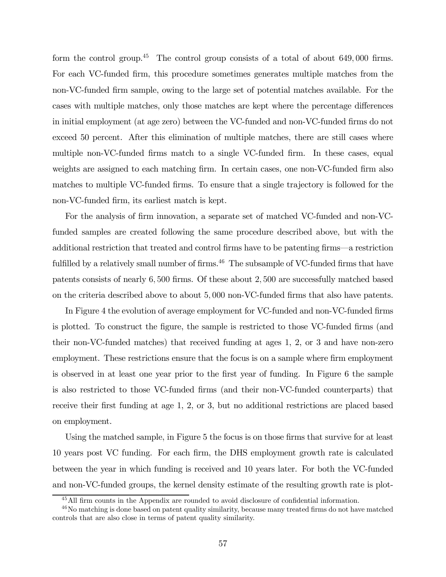form the control group.<sup>45</sup> The control group consists of a total of about 649,000 firms. For each VC-funded firm, this procedure sometimes generates multiple matches from the non-VC-funded firm sample, owing to the large set of potential matches available. For the cases with multiple matches, only those matches are kept where the percentage differences in initial employment (at age zero) between the VC-funded and non-VC-funded firms do not exceed 50 percent. After this elimination of multiple matches, there are still cases where multiple non-VC-funded firms match to a single VC-funded firm. In these cases, equal weights are assigned to each matching firm. In certain cases, one non-VC-funded firm also matches to multiple VC-funded firms. To ensure that a single trajectory is followed for the non-VC-funded firm, its earliest match is kept.

For the analysis of firm innovation, a separate set of matched VC-funded and non-VCfunded samples are created following the same procedure described above, but with the additional restriction that treated and control firms have to be patenting firms–a restriction fulfilled by a relatively small number of firms. $46$  The subsample of VC-funded firms that have patents consists of nearly 6,500 firms. Of these about 2,500 are successfully matched based on the criteria described above to about 5 000 non-VC-funded firms that also have patents.

In Figure 4 the evolution of average employment for VC-funded and non-VC-funded firms is plotted. To construct the figure, the sample is restricted to those VC-funded firms (and their non-VC-funded matches) that received funding at ages 1, 2, or 3 and have non-zero employment. These restrictions ensure that the focus is on a sample where firm employment is observed in at least one year prior to the first year of funding. In Figure 6 the sample is also restricted to those VC-funded firms (and their non-VC-funded counterparts) that receive their first funding at age 1, 2, or 3, but no additional restrictions are placed based on employment.

Using the matched sample, in Figure 5 the focus is on those firms that survive for at least 10 years post VC funding. For each firm, the DHS employment growth rate is calculated between the year in which funding is received and 10 years later. For both the VC-funded and non-VC-funded groups, the kernel density estimate of the resulting growth rate is plot-

<sup>45</sup>All firm counts in the Appendix are rounded to avoid disclosure of confidential information.

<sup>46</sup>No matching is done based on patent quality similarity, because many treated firms do not have matched controls that are also close in terms of patent quality similarity.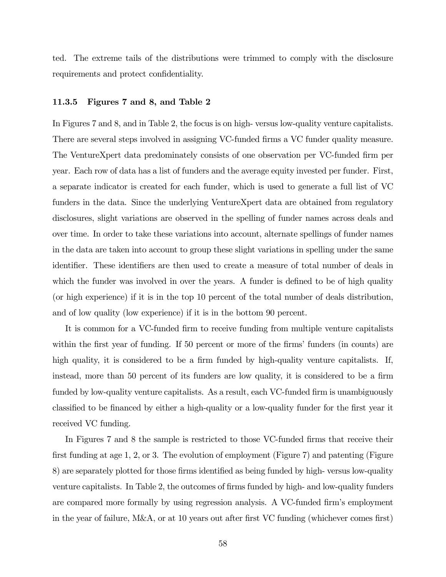ted. The extreme tails of the distributions were trimmed to comply with the disclosure requirements and protect confidentiality.

### 11.3.5 Figures 7 and 8, and Table 2

In Figures 7 and 8, and in Table 2, the focus is on high- versus low-quality venture capitalists. There are several steps involved in assigning VC-funded firms a VC funder quality measure. The VentureXpert data predominately consists of one observation per VC-funded firm per year. Each row of data has a list of funders and the average equity invested per funder. First, a separate indicator is created for each funder, which is used to generate a full list of VC funders in the data. Since the underlying VentureXpert data are obtained from regulatory disclosures, slight variations are observed in the spelling of funder names across deals and over time. In order to take these variations into account, alternate spellings of funder names in the data are taken into account to group these slight variations in spelling under the same identifier. These identifiers are then used to create a measure of total number of deals in which the funder was involved in over the years. A funder is defined to be of high quality (or high experience) if it is in the top 10 percent of the total number of deals distribution, and of low quality (low experience) if it is in the bottom 90 percent.

It is common for a VC-funded firm to receive funding from multiple venture capitalists within the first year of funding. If 50 percent or more of the firms' funders (in counts) are high quality, it is considered to be a firm funded by high-quality venture capitalists. If, instead, more than 50 percent of its funders are low quality, it is considered to be a firm funded by low-quality venture capitalists. As a result, each VC-funded firm is unambiguously classified to be financed by either a high-quality or a low-quality funder for the first year it received VC funding.

In Figures 7 and 8 the sample is restricted to those VC-funded firms that receive their first funding at age 1, 2, or 3. The evolution of employment (Figure 7) and patenting (Figure 8) are separately plotted for those firms identified as being funded by high- versus low-quality venture capitalists. In Table 2, the outcomes of firms funded by high- and low-quality funders are compared more formally by using regression analysis. A VC-funded firm's employment in the year of failure, M&A, or at 10 years out after first VC funding (whichever comes first)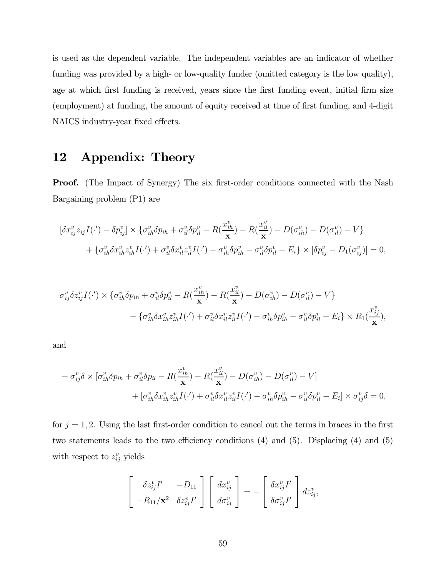is used as the dependent variable. The independent variables are an indicator of whether funding was provided by a high- or low-quality funder (omitted category is the low quality), age at which first funding is received, years since the first funding event, initial firm size (employment) at funding, the amount of equity received at time of first funding, and 4-digit NAICS industry-year fixed effects.

# 12 Appendix: Theory

**Proof.** (The Impact of Synergy) The six first-order conditions connected with the Nash Bargaining problem (P1) are

$$
[\delta x_{ij}^{v} z_{ij} I(\cdot') - \delta p_{ij}^{v}] \times \{ \sigma_{ih}^{v} \delta p_{ih} + \sigma_{il}^{v} \delta p_{il}^{v} - R(\frac{x_{ih}^{v}}{x}) - R(\frac{x_{il}^{v}}{x}) - D(\sigma_{ih}^{v}) - D(\sigma_{il}^{v}) - V \} + \{ \sigma_{ih}^{v} \delta x_{ih}^{v} z_{ih}^{v} I(\cdot') + \sigma_{il}^{v} \delta x_{il}^{v} z_{il}^{v} I(\cdot') - \sigma_{ih}^{v} \delta p_{ih}^{v} - \sigma_{il}^{v} \delta p_{il}^{v} - E_{i} \} \times [\delta p_{ij}^{v} - D(\sigma_{ij}^{v})] = 0,
$$

$$
\sigma_{ij}^v \delta z_{ij}^v I(\cdot') \times \{ \sigma_{ih}^v \delta p_{ih} + \sigma_{il}^v \delta p_{il}^v - R(\frac{x_{ih}^v}{\mathbf{x}}) - R(\frac{x_{il}^v}{\mathbf{x}}) - D(\sigma_{ih}^v) - D(\sigma_{il}^v) - V \} - \{ \sigma_{ih}^v \delta x_{ih}^v z_{ih}^v I(\cdot') + \sigma_{il}^v \delta x_{il}^v z_{il}^v I(\cdot') - \sigma_{ih}^v \delta p_{ih}^v - \sigma_{il}^v \delta p_{il}^v - E_i \} \times R_1(\frac{x_{ij}^v}{\mathbf{x}}),
$$

and

$$
- \sigma_{ij}^v \delta \times [\sigma_{ih}^v \delta p_{ih} + \sigma_{il}^v \delta p_{il} - R(\frac{x_{ih}^v}{\mathbf{x}}) - R(\frac{x_{il}^v}{\mathbf{x}}) - D(\sigma_{ih}^v) - D(\sigma_{il}^v) - V] + [\sigma_{ih}^v \delta x_{ih}^v z_{ih}^v I(\cdot') + \sigma_{il}^v \delta x_{il}^v z_{il}^v I(\cdot') - \sigma_{ih}^v \delta p_{ih}^v - \sigma_{il}^v \delta p_{il}^v - E_i] \times \sigma_{ij}^v \delta = 0,
$$

for  $j = 1, 2$ . Using the last first-order condition to cancel out the terms in braces in the first two statements leads to the two efficiency conditions (4) and (5). Displacing (4) and (5) with respect to  $z_{ij}^v$  yields

$$
\begin{bmatrix}\n\delta z_{ij}^{v} I' & -D_{11} \\
-R_{11}/\mathbf{x}^{2} & \delta z_{ij}^{v} I'\n\end{bmatrix}\n\begin{bmatrix}\ndx_{ij}^{v} \\
d\sigma_{ij}^{v}\n\end{bmatrix} = -\begin{bmatrix}\n\delta x_{ij}^{v} I' \\
\delta \sigma_{ij}^{v} I'\n\end{bmatrix} dz_{ij}^{v},
$$